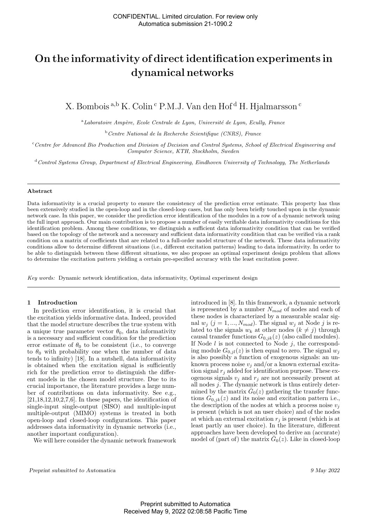# On the informativity of direct identification experiments in dynamical networks

X. Bombois <sup>a,b</sup> K. Colin<sup>c</sup> P.M.J. Van den Hof<sup>d</sup> H. Hjalmarsson<sup>c</sup>

 $a<sup>a</sup>$ Laboratoire Ampère, Ecole Centrale de Lyon, Université de Lyon, Ecully, France

 $b$ <sup>b</sup>Centre National de la Recherche Scientifique (CNRS), France

<sup>c</sup>Centre for Advanced Bio Production and Division of Decision and Control Systems, School of Electrical Engineering and Computer Science, KTH, Stockholm, Sweden

 $d$ Control Systems Group, Department of Electrical Engineering, Eindhoven University of Technology, The Netherlands

#### Abstract

Data informativity is a crucial property to ensure the consistency of the prediction error estimate. This property has thus been extensively studied in the open-loop and in the closed-loop cases, but has only been briefly touched upon in the dynamic network case. In this paper, we consider the prediction error identification of the modules in a row of a dynamic network using the full input approach. Our main contribution is to propose a number of easily verifiable data informativity conditions for this identification problem. Among these conditions, we distinguish a sufficient data informativity condition that can be verified based on the topology of the network and a necessary and sufficient data informativity condition that can be verified via a rank condition on a matrix of coefficients that are related to a full-order model structure of the network. These data informativity conditions allow to determine different situations (i.e., different excitation patterns) leading to data informativity. In order to be able to distinguish between these different situations, we also propose an optimal experiment design problem that allows to determine the excitation pattern yielding a certain pre-specified accuracy with the least excitation power.

Key words: Dynamic network identification, data informativity, Optimal experiment design

## 1 Introduction

In prediction error identification, it is crucial that the excitation yields informative data. Indeed, provided that the model structure describes the true system with a unique true parameter vector  $\theta_0$ , data informativity is a necessary and sufficient condition for the prediction error estimate of  $\theta_0$  to be consistent (i.e., to converge to  $\theta_0$  with probability one when the number of data tends to infinity) [18]. In a nutshell, data informativity is obtained when the excitation signal is sufficiently rich for the prediction error to distinguish the different models in the chosen model structure. Due to its crucial importance, the literature provides a large number of contributions on data informativity. See e.g.,  $[21,18,12,10,2,7,6]$ . In these papers, the identification of single-input single-output (SISO) and multiple-input multiple-output (MIMO) systems is treated in both open-loop and closed-loop configurations. This paper addresses data informativity in dynamic networks (i.e., another important configuration).

We will here consider the dynamic network framework

introduced in [8]. In this framework, a dynamic network is represented by a number  $N_{mod}$  of nodes and each of these nodes is characterized by a measurable scalar signal  $w_j$  (j = 1, ...,  $N_{mod}$ ). The signal  $w_j$  at Node j is related to the signals  $w_k$  at other nodes  $(k \neq j)$  through causal transfer functions  $G_{0,jk}(z)$  (also called modules). If Node  $l$  is not connected to Node  $j$ , the corresponding module  $G_{0,jl}(z)$  is then equal to zero. The signal  $w_i$ is also possibly a function of exogenous signals: an unknown process noise  $v_i$  and/or a known external excitation signal  $r_i$  added for identification purpose. These exogenous signals  $v_j$  and  $r_j$  are not necessarily present at all nodes  $j$ . The dynamic network is thus entirely determined by the matrix  $\bar{G}_0(z)$  gathering the transfer functions  $G_{0,jk}(z)$  and its noise and excitation pattern i.e., the description of the nodes at which a process noise  $v_j$ is present (which is not an user choice) and of the nodes at which an external excitation  $r_i$  is present (which is at least partly an user choice). In the literature, different approaches have been developed to derive an (accurate) model of (part of) the matrix  $\bar{G}_0(z)$ . Like in closed-loop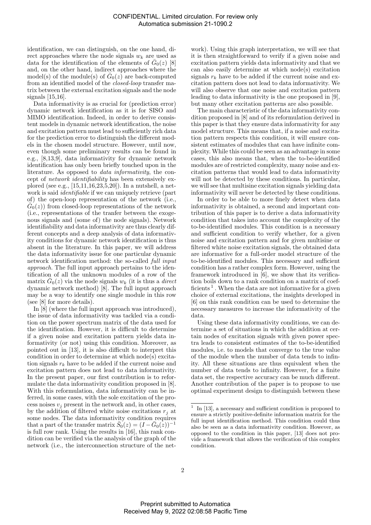identification, we can distinguish, on the one hand, direct approaches where the node signals  $w_k$  are used as data for the identification of the elements of  $\bar{G}_0(z)$  [8] and, on the other hand, indirect approaches where the model(s) of the module(s) of  $\bar{G}_0(z)$  are back-computed from an identified model of the closed-loop transfer matrix between the external excitation signals and the node signals  $|15,16|$ .

Data informativity is as crucial for (prediction error) dynamic network identification as it is for SISO and MIMO identification. Indeed, in order to derive consistent models in dynamic network identification, the noise and excitation pattern must lead to sufficiently rich data for the prediction error to distinguish the different models in the chosen model structure. However, until now, even though some preliminary results can be found in e.g., [8,13,9], data informativity for dynamic network identification has only been briefly touched upon in the literature. As opposed to data informativity, the concept of network identifiability has been extensively explored (see e.g., [15,11,16,23,5,20]). In a nutshell, a network is said identifiable if we can uniquely retrieve (part of) the open-loop representation of the network (i.e.,  $\bar{G}_0(z)$ ) from closed-loop representations of the network (i.e., representations of the tranfer between the exogenous signals and (some of) the node signals). Network identifiability and data informativity are thus clearly different concepts and a deep analysis of data informativity conditions for dynamic network identification is thus absent in the literature. In this paper, we will address the data informativity issue for one particular dynamic network identification method: the so-called full input approach. The full input approach pertains to the identification of all the unknown modules of a row of the matrix  $\bar{G}_0(z)$  via the node signals  $w_k$  (it is thus a *direct* dynamic network method) [8]. The full input approach may be a way to identify one single module in this row (see [8] for more details).

In [8] (where the full input approach was introduced), the issue of data informativity was tackled via a condition on the power spectrum matrix of the data used for the identification. However, it is difficult to determine if a given noise and excitation pattern yields data informativity (or not) using this condition. Moreover, as pointed out in [13], it is also difficult to interpret this condition in order to determine at which node(s) excitation signals  $r_k$  have to be added if the current noise and excitation pattern does not lead to data informativity. In the present paper, our first contribution is to reformulate the data informativity condition proposed in [8]. With this reformulation, data informativity can be inferred, in some cases, with the sole excitation of the process noises  $v_i$  present in the network and, in other cases, by the addition of filtered white noise excitations  $r_i$  at some nodes. The data informativity condition requires that a part of the transfer matrix  $\bar{S}_0(z) = (I - \bar{G}_0(z))^{-1}$ is full row rank. Using the results in [16], this rank condition can be verified via the analysis of the graph of the network (i.e., the interconnection structure of the net-

work). Using this graph interpretation, we will see that it is then straightforward to verify if a given noise and excitation pattern yields data informativity and that we can also easily determine at which node(s) excitation signals  $r_k$  have to be added if the current noise and excitation pattern does not lead to data informativity. We will also observe that one noise and excitation pattern leading to data informativity is the one proposed in [9], but many other excitation patterns are also possible.

The main characteristic of the data informativity condition proposed in [8] and of its reformulation derived in this paper is that they ensure data informativity for any model structure. This means that, if a noise and excitation pattern respects this condition, it will ensure consistent estimates of modules that can have infinite complexity. While this could be seen as an advantage in some cases, this also means that, when the to-be-identified modules are of restricted complexity, many noise and excitation patterns that would lead to data informativity will not be detected by these conditions. In particular, we will see that multisine excitation signals yielding data informativity will never be detected by these conditions.

In order to be able to more finely detect when data informativity is obtained, a second and important contribution of this paper is to derive a data informativity condition that takes into account the complexity of the to-be-identified modules. This condition is a necessary and sufficient condition to verify whether, for a given noise and excitation pattern and for given multisine or filtered white noise excitation signals, the obtained data are informative for a full-order model structure of the to-be-identified modules. This necessary and sufficient condition has a rather complex form. However, using the framework introduced in [6], we show that its verification boils down to a rank condition on a matrix of coefficients<sup>1</sup>. When the data are not informative for a given choice of external excitations, the insights developed in [6] on this rank condition can be used to determine the necessary measures to increase the informativity of the data.

Using these data informativity conditions, we can determine a set of situations in which the addition at certain nodes of excitation signals with given power spectra leads to consistent estimates of the to-be-identified modules, i.e. to models that converge to the true value of the module when the number of data tends to infinity. All these situations are thus equivalent when the number of data tends to infinity. However, for a finite data set, the respective accuracy can be much different. Another contribution of the paper is to propose to use optimal experiment design to distinguish between these

<sup>&</sup>lt;sup>1</sup> In [13], a necessary and sufficient condition is proposed to ensure a strictly positive-definite information matrix for the full input identification method. This condition could thus also be seen as a data informativity condition. However, as opposed to the condition in this paper, [13] does not provide a framework that allows the verification of this complex condition.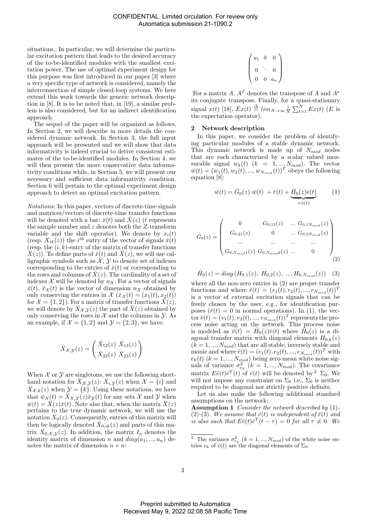situations,. In particular, we will determine the particular excitation pattern that leads to the desired accuracy of the to-be-identified modules with the smallest excitation power. The use of optimal experiment design for this purpose was first introduced in our paper [3] where a very specific type of network is considered, namely the interconnection of simple closed-loop systems. We here extend this work towards the generic network description in [8]. It is to be noted that, in [19], a similar problem is also considered, but for an indirect identification approach.

The sequel of the paper will be organized as follows. In Section 2, we will describe in more details the considered dynamic network. In Section 3, the full input approach will be presented and we will show that data informativity is indeed crucial to derive consistent estimates of the to-be-identified modules. In Section 4, we will then present the more conservative data informativity conditions while, in Section 5, we will present our necessary and sufficient data informativity condition. Section 6 will pertain to the optimal experiment design approach to detect an optimal excitation pattern.

Notations: In this paper, vectors of discrete-time signals and matrices/vectors of discrete-time transfer functions will be denoted with a bar:  $\bar{x}(t)$  and  $X(z)$  (t represents the sample number and z denotes both the Z-transform variable and the shift operator). We denote by  $x_i(t)$ (resp.  $X_{ik}(z)$ ) the i<sup>th</sup> entry of the vector of signals  $\bar{x}(t)$ (resp. the  $(i, k)$ -entry of the matrix of transfer functions  $\bar{X}(z)$ ). To define parts of  $\bar{x}(t)$  and  $\bar{X}(z)$ , we will use calligraphic symbols such as  $\mathcal{X}, \mathcal{Y}$  to denote set of indexes corresponding to the entries of  $\bar{x}(t)$  or corresponding to the rows and columns of  $\bar{X}(z)$ . The cardinality of a set of indexes  $\mathcal X$  will be denoted by  $n_{\mathcal X}$ . For a vector of signals  $\bar{x}(t)$ ,  $\bar{x}_{\mathcal{X}}(t)$  is the vector of dimension  $n_{\mathcal{X}}$  obtained by only conserving the entries in  $\mathcal{X}(\bar{x}_{\mathcal{X}}(t) = (x_1(t), x_2(t))$ for  $\mathcal{X} = \{1, 2\}$ . For a matrix of transfer functions  $\bar{X}(z)$ , we will denote by  $X_{\mathcal{X},\mathcal{Y}}(z)$  the part of  $X(z)$  obtained by only conserving the rows in  $\mathcal X$  and the columns in  $\mathcal Y$ . As an example, if  $\mathcal{X} = \{1, 2\}$  and  $\mathcal{Y} = \{2, 3\}$ , we have:

$$
\bar{X}_{\mathcal{X},\mathcal{Y}}(z) = \begin{pmatrix} \bar{X}_{12}(z) & \bar{X}_{13}(z) \\ \bar{X}_{22}(z) & \bar{X}_{23}(z) \end{pmatrix}
$$

When  $X$  or  $Y$  are singletons, we use the following shorthand notation for  $\bar{X}_{\mathcal{X},\mathcal{Y}}(z)$ :  $\bar{X}_{i,\mathcal{Y}}(z)$  when  $\mathcal{X} = \{i\}$  and  $\bar{X}_{\mathcal{X},k}(z)$  when  $\mathcal{Y} = \{k\}$ . Using these notations, we have that  $\bar{w}_{\mathcal{X}}(t) = \bar{X}_{\mathcal{X},\mathcal{Y}}(z)\bar{x}_{\mathcal{Y}}(t)$  for any sets X and Y when  $\bar{w}(t) = \bar{X}(z)\bar{x}(t)$ . Note also that, when the matrix  $\bar{X}(z)$ pertains to the true dynamic network, we will use the notation  $\bar{X}_0(z)$ . Consequently, entries of this matrix will then be logically denoted  $\bar{X}_{0,ik}(z)$  and parts of this matrix  $\bar{X}_{0,\mathcal{X},\mathcal{Y}}(z)$ . In addition, the matrix  $I_n$  denotes the identity matrix of dimension n and  $diag(a_1, ..., a_n)$  denotes the matrix of dimension  $n \times n$ :

$$
\left(\n\begin{array}{ccc}\na_1 & 0 & 0 \\
0 & \ddots & 0 \\
0 & 0 & a_n\n\end{array}\n\right)
$$

For a matrix A,  $A<sup>T</sup>$  denotes the transpose of A and  $A^*$ its conjugate transpose. Finally, for a quasi-stationary signal  $x(t)$  [18],  $\bar{E}x(t) \triangleq \lim_{N \to \infty} \frac{1}{N} \sum_{t=1}^{N} Ex(t)$  (*E* is the expectation operator).

## 2 Network description

In this paper, we consider the problem of identifying particular modules of a stable dynamic network. This dynamic network is made up of  $N_{mod}$  nodes that are each characterized by a scalar valued measurable signal  $w_k(t)$   $(k = 1, ..., N_{mod})$ . The vector  $\bar{w}(t) = (w_1(t), w_2(t), ..., w_{N_{mod}}(t))^T$  obeys the following equation [8]:

$$
\bar{w}(t) = \bar{G}_0(z) \ \bar{w}(t) + \bar{r}(t) + \underbrace{\bar{H}_0(z)\bar{e}(t)}_{=\bar{v}(t)} \tag{1}
$$

$$
\bar{G}_0(z) = \begin{pmatrix}\n0 & G_{0,12}(z) & \dots G_{0,1N_{mod}}(z) \\
G_{0,21}(z) & 0 & \dots G_{0,2N_{mod}}(z) \\
\dots & \dots & \dots & \dots \\
G_{0,N_{mod}1}(z) & G_{0,N_{mod}2}(z) & \dots & 0\n\end{pmatrix}
$$
\n(2)

 $\bar{H}_0(z) = diag(H_{0,1}(z), H_{0,2}(z), ..., H_{0,N_{mod}}(z))$  (3) where all the non-zero entries in (2) are proper transfer functions and where  $\bar{r}(t) = (r_1(t), r_2(t), ..., r_{N_{mod}}(t))^T$ is a vector of external excitation signals that can be freely chosen by the user, e.g., for identification purposes  $(\bar{r}(t) = 0$  in normal operations). In (1), the vec- $\text{tor }\bar{v}(t)=(v_1(t),v_2(t),...,v_{N_{mod}}(t))^T$  represents the process noise acting on the network. This process noise is modeled as  $\bar{v}(t) = \bar{H}_0(z)\bar{e}(t)$  where  $\bar{H}_0(z)$  is a diagonal transfer matrix with diagonal elements  $H_{0,k}(z)$  $(k = 1, ..., N_{mod})$  that are all stable, inversely stable and monic and where  $\bar{e}(t) = (e_1(t), e_2(t), ..., e_{N_{mod}}(t))^T$  with  $e_k(t)$   $(k = 1, ..., N_{mod})$  being zero-mean white noise signals of variance  $\sigma_{e_k}^2$   $(k = 1, ..., N_{mod})$ . The covariance matrix  $E\bar{e}(t)\bar{e}^T(t)$  of  $\bar{e}(t)$  will be denoted by <sup>2</sup>  $\Sigma_0$ . We will not impose any constraint on  $\Sigma_0$  i.e.,  $\Sigma_0$  is neither required to be diagonal nor strictly positive definite.

Let us also make the following additional standard assumptions on the network:

Assumption 1 Consider the network described by (1)- (2)-(3). We assume that  $\bar{e}(t)$  is independent of  $\bar{r}(t)$  and is also such that  $E\bar{e}(t)\bar{e}^T(t-\tau) = 0$  for all  $\tau \neq 0$ . We

<sup>&</sup>lt;sup>2</sup> The variance  $\sigma_{e_k}^2$  ( $k = 1, ..., N_{mod}$ ) of the white noise entries  $e_k$  of  $\bar{e}(t)$  are the diagonal elements of  $\Sigma_0$ .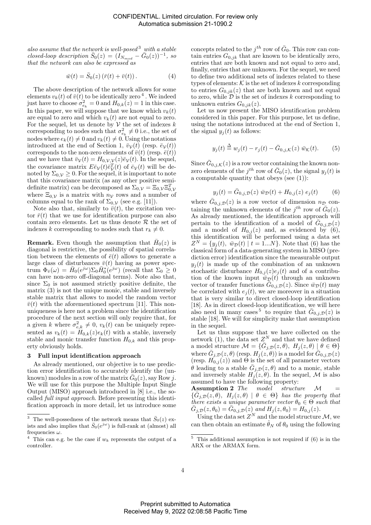also assume that the network is well-posed<sup>3</sup> with a stable closed-loop description  $\bar{S}_0(z) = (I_{N_{mod}} - \bar{G}_0(z))^{-1}$ , so that the network can also be expressed as

$$
\bar{w}(t) = \bar{S}_0(z) \left( \bar{r}(t) + \bar{v}(t) \right). \tag{4}
$$

The above description of the network allows for some elements  $v_k(t)$  of  $\bar{v}(t)$  to be identically zero <sup>4</sup>. We indeed just have to choose  $\sigma_{e_k}^2 = 0$  and  $H_{0,k}(z) = 1$  in this case. In this paper, we will suppose that we know which  $v_k(t)$ are equal to zero and which  $v_k(t)$  are not equal to zero. For the sequel, let us denote by  $V$  the set of indexes  $k$ corresponding to nodes such that  $\sigma_{e_k}^2 \neq 0$  i.e., the set of nodes where  $e_k(t) \neq 0$  and  $v_k(t) \neq 0$ . Using the notations introduced at the end of Section 1,  $\bar{v}_\mathcal{V}(t)$  (resp.  $\bar{e}_\mathcal{V}(t)$ ) corresponds to the non-zero elements of  $\bar{v}(t)$  (resp.  $\bar{e}(t)$ ) and we have that  $\bar{v}_\mathcal{V}(t) = H_{0,\mathcal{V},\mathcal{V}}(z)\bar{e}_\mathcal{V}(t)$ . In the sequel, the covariance matrix  $E \bar{e}_{\mathcal{V}}(t) \bar{e}_{\mathcal{V}}^T(t)$  of  $\bar{e}_{\mathcal{V}}(t)$  will be denoted by  $\Sigma_{0,\mathcal{V}} \geq 0$ . For the sequel, it is important to note that this covariance matrix (as any other positive semidefinite matrix) can be decomposed as  $\Sigma_{0,\mathcal{V}} = \Xi_{0,\mathcal{V}} \Xi_{0,\mathcal{V}}^T$ where  $\Xi_{0,\mathcal{V}}$  is a matrix with  $n_{\mathcal{V}}$  rows and a number of columns equal to the rank of  $\Sigma_{0,\mathcal{V}}$  (see e.g. [11]).

Note also that, similarly to  $\bar{v}(t)$ , the excitation vector  $\bar{r}(t)$  that we use for identification purpose can also contain zero elements. Let us thus denote  $R$  the set of indexes k corresponding to nodes such that  $r_k \neq 0$ .

**Remark.** Even though the assumption that  $\bar{H}_0(z)$  is diagonal is restrictive, the possibility of spatial correlation between the elements of  $\bar{e}(t)$  allows to generate a large class of disturbances  $\bar{v}(t)$  having as power spectrum  $\Phi_{\bar{v}}(\omega) = \bar{H}_0(e^{j\omega})\Sigma_0 \bar{H}_0^*(e^{j\omega})$  (recall that  $\Sigma_0 \geq 0$ can have non-zero off-diagonal terms). Note also that, since  $\Sigma_0$  is not assumed strictly positive definite, the matrix (3) is not the unique monic, stable and inversely stable matrix that allows to model the random vector  $\bar{v}(t)$  with the aforementioned spectrum [11]. This nonuniqueness is here not a problem since the identification procedure of the next section will only require that, for a given k where  $\sigma_{e,k}^2 \neq 0$ ,  $v_k(t)$  can be uniquely represented as  $v_k(t) = H_{0,k}(z)e_k(t)$  with a stable, inversely stable and monic transfer function  $H_{0,k}$  and this property obviously holds.

#### 3 Full input identification approach

As already mentioned, our objective is to use prediction error identification to accurately identify the (unknown) modules in a row of the matrix  $\bar{G}_0(z)$ , say Row j. We will use for this purpose the Multiple Input Single Output (MISO) approach introduced in [8] i.e., the socalled full input approach. Before presenting this identification approach in more detail, let us introduce some

concepts related to the  $j^{th}$  row of  $\bar{G}_0$ . This row can contain entries  $G_{0,jk}$  that are known to be identically zero, entries that are both known and not equal to zero and, finally, entries that are unknown. For the sequel, we need to define two additional sets of indexes related to these types of elements:  $K$  is the set of indexes k corresponding to entries  $G_{0,jk}(z)$  that are both known and not equal to zero, while  $\mathcal D$  is the set of indexes k corresponding to unknown entries  $G_{0,jk}(z)$ .

Let us now present the MISO identification problem considered in this paper. For this purpose, let us define, using the notations introduced at the end of Section 1, the signal  $y_j(t)$  as follows:

$$
y_j(t) \stackrel{\Delta}{=} w_j(t) - r_j(t) - \bar{G}_{0,j,\mathcal{K}}(z) \bar{w}_{\mathcal{K}}(t). \qquad (5)
$$

Since  $\bar{G}_{0,j,\mathcal{K}}(z)$  is a row vector containing the known nonzero elements of the  $j^{th}$  row of  $\bar{G}_0(z)$ , the signal  $y_j(t)$  is a computable quantity that obeys (see (1)):

$$
y_j(t) = \bar{G}_{0,j,\mathcal{D}}(z) \ \bar{w}_{\mathcal{D}}(t) + H_{0,j}(z) \ e_j(t) \tag{6}
$$

where  $\bar{G}_{0,j,\mathcal{D}}(z)$  is a row vector of dimension  $n_{\mathcal{D}}$  containing the unknown elements of the  $j^{th}$  row of  $\bar{G}_0(z)$ . As already mentioned, the identification approach will pertain to the identification of a model of  $\bar{G}_{0,j,D}(z)$ and a model of  $H_{0,j}(z)$  and, as evidenced by  $(6)$ , this identification will be performed using a data set  $Z^N = \{y_j(t), \ \bar{w}_{\mathcal{D}}(t) \mid t = 1...N\}$ . Note that (6) has the classical form of a data-generating system in MISO (prediction error) identification since the measurable output  $y_i(t)$  is made up of the combination of an unknown stochastic disturbance  $H_{0,j}(z)e_j(t)$  and of a contribution of the known input  $\bar{w}_\mathcal{D}(t)$  through an unknown vector of transfer functions  $\tilde{G}_{0,j,\mathcal{D}}(z)$ . Since  $\bar{w}_{\mathcal{D}}(t)$  may be correlated with  $e_i(t)$ , we are moreover in a situation that is very similar to direct closed-loop identification [18]. As in direct closed-loop identification, we will here also need in many cases  $5$  to require that  $\bar{G}_{0,j,D}(z)$  is stable [18]. We will for simplicity make that assumption in the sequel.

Let us thus suppose that we have collected on the network (1), the data set  $Z^N$  and that we have defined a model structure  $\mathcal{M} = \{ \bar{G}_{j,\mathcal{D}}(z,\theta), H_j(z,\theta) \mid \theta \in \Theta \}$ where  $\bar{G}_{j,\mathcal{D}}(z,\theta)$  (resp.  $H_j(z,\theta)$ ) is a model for  $\bar{G}_{0,j,\mathcal{D}}(z)$ (resp.  $H_{0,j}(z)$ ) and  $\Theta$  is the set of all parameter vectors  $\hat{\theta}$  leading to a stable  $\bar{G}_{j,\mathcal{D}}(z,\theta)$  and to a monic, stable and inversely stable  $H_j(z, \theta)$ . In the sequel, M is also assumed to have the following property:

Assumption 2 The model structure  $\mathcal{M}$  =  $\{\bar{G}_j, p(\vec{z},\theta), H_j(z,\theta) \mid \theta \in \Theta\}$  has the property that there exists a unique parameter vector  $\theta_0 \in \Theta$  such that  $\bar{G}_{j,\mathcal{D}}(z,\theta_0) = \bar{G}_{0,j,\mathcal{D}}(z)$  and  $H_j(z,\theta_0) = H_{0,j}(z)$ .

Using the data set  $Z^N$  and the model structure  $\mathcal{M}$ , we can then obtain an estimate  $\hat{\theta}_N$  of  $\theta_0$  using the following

<sup>&</sup>lt;sup>3</sup> The well-possedness of the network means that  $\bar{S}_0(z)$  exists and also implies that  $\bar{S}_0(e^{j\omega})$  is full-rank at (almost) all frequencies  $\omega$ .

<sup>&</sup>lt;sup>4</sup> This can e.g. be the case if  $w_k$  represents the output of a controller.

 $5$  This additional assumption is not required if  $(6)$  is in the ARX or the ARMAX form.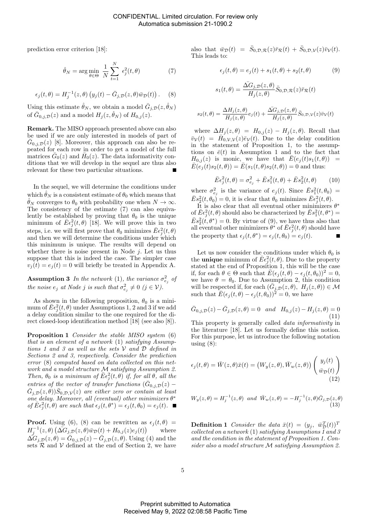prediction error criterion [18]:

$$
\hat{\theta}_N = \arg\min_{\theta \in \Theta} \frac{1}{N} \sum_{t=1}^N \epsilon_j^2(t, \theta) \tag{7}
$$

$$
\epsilon_j(t,\theta) = H_j^{-1}(z,\theta) \left( y_j(t) - \bar{G}_{j,\mathcal{D}}(z,\theta) \bar{w}_{\mathcal{D}}(t) \right). \tag{8}
$$

Using this estimate  $\hat{\theta}_N$ , we obtain a model  $\bar{G}_{j,\mathcal{D}}(z,\hat{\theta}_N)$ of  $\bar{G}_{0,j,\mathcal{D}}(z)$  and a model  $H_j(z,\hat{\theta}_N)$  of  $H_{0,j}(z)$ .

Remark. The MISO approach presented above can also be used if we are only interested in models of part of  $\bar{G}_{0,j,\mathcal{D}}(z)$  [8]. Moreover, this approach can also be repeated for each row in order to get a model of the full matrices  $\bar{G}_0(z)$  and  $\bar{H}_0(z)$ . The data informativity conditions that we will develop in the sequel are thus also relevant for these two particular situations.

In the sequel, we will determine the conditions under which  $\hat{\theta}_N$  is a consistent estimate of  $\theta_0$  which means that  $\hat{\theta}_N$  converges to  $\theta_0$  with probability one when  $N \to \infty$ . The consistency of the estimate (7) can also equivalently be established by proving that  $\theta_0$  is the unique minimum of  $\bar{E}\epsilon_j^2(t,\theta)$  [18]. We will prove this in two steps, i.e. we will first prove that  $\theta_0$  minimizes  $\bar{E} \epsilon_j^2(t, \theta)$ and then we will determine the conditions under which this minimum is unique. The results will depend on whether there is noise present in Node  $j$ . Let us thus suppose that this is indeed the case. The simpler case  $v_j(t) = e_j(t) = 0$  will briefly be treated in Appendix A.

**Assumption 3** In the network (1), the variance  $\sigma_{e_j}^2$  of the noise  $e_j$  at Node j is such that  $\sigma_{e_j}^2 \neq 0$  (j  $\in \mathcal{V}$ ).

As shown in the following proposition,  $\theta_0$  is a minimum of  $E\epsilon_j^2(t,\theta)$  under Assumptions 1, 2 and 3 if we add a delay condition similar to the one required for the direct closed-loop identification method [18] (see also [8]).

Proposition 1 Consider the stable MISO system (6) that is an element of a network (1) satisfying Assumptions 1 and 3 as well as the sets  $V$  and  $D$  defined in Sections 2 and 3, respectively. Consider the prediction error (8) computed based on data collected on this network and a model structure M satisfying Assumption 2. Then,  $\theta_0$  is a minimum of  $\overline{E} \epsilon_j^2(t, \theta)$  if, for all  $\theta$ , all the entries of the vector of transfer functions  $(\bar{G}_{0,j,D}(z) (\bar{G}_{j,D}(z, \theta))\bar{S}_{0,D,\mathcal{V}}(z)$  are either zero or contain at least one delay. Moreover, all (eventual) other minimizers  $\theta^*$ of  $\bar{E}\epsilon_j^2(t,\theta)$  are such that  $\epsilon_j(t,\theta^*) = \epsilon_j(t,\theta_0) = e_j(t)$ .

**Proof.** Using (6), (8) can be rewritten as  $\epsilon_i(t, \theta)$  =  $H_j^{-1}(z, \theta) \left( \Delta G_{j, \mathcal{D}}(z, \theta) \bar{w}_{\mathcal{D}}(t) + H_{0, j}(z) e_j(t) \right)$ where  $\vec{\Delta G}_{j,D}(z,\theta) = \vec{G}_{0,j,D}(z) - \vec{G}_{j,D}(z,\theta)$ . Using (4) and the sets  $\mathcal{R}$  and  $\mathcal V$  defined at the end of Section 2, we have

also that  $\bar{w}_{\mathcal{D}}(t) = \bar{S}_{0,\mathcal{D},\mathcal{R}}(z)\bar{r}_{\mathcal{R}}(t) + \bar{S}_{0,\mathcal{D},\mathcal{V}}(z)\bar{v}_{\mathcal{V}}(t).$ This leads to:

$$
\epsilon_j(t,\theta) = e_j(t) + s_1(t,\theta) + s_2(t,\theta) \tag{9}
$$

$$
s_1(t,\theta)=\frac{\bar{\Delta G}_{j,\mathcal{D}}(z,\theta)}{H_j(z,\theta)}\bar{S}_{0,\mathcal{D},\mathcal{R}}(z)\bar{r}_{\mathcal{R}}(t)
$$

$$
s_2(t,\theta) = \frac{\Delta H_j(z,\theta)}{H_j(z,\theta)} e_j(t) + \frac{\Delta G_{j,\mathcal{D}}(z,\theta)}{H_j(z,\theta)} \bar{S}_{0,\mathcal{D},\mathcal{V}}(z) \bar{v}_{\mathcal{V}}(t)
$$

where  $\Delta H_j(z, \theta) = H_{0,j}(z) - H_j(z, \theta)$ . Recall that  $\bar{v}_{\mathcal{V}}(t) = \bar{H}_{0,\mathcal{V},\mathcal{V}}(z)\bar{e}_{\mathcal{V}}(t)$ . Due to the delay condition in the statement of Proposition 1, to the assumptions on  $\bar{e}(t)$  in Assumption 1 and to the fact that  $H_{0,j}(z)$  is monic, we have that  $\overline{E}(e_j(t)s_1(t,\theta)) =$  $\bar{E}(e_j(t)s_2(t, \theta)) = \bar{E}(s_1(t, \theta)s_2(t, \theta)) = 0$  and thus:

$$
\bar{E}\epsilon_j^2(t,\theta) = \sigma_{e_j}^2 + \bar{E}s_1^2(t,\theta) + \bar{E}s_2^2(t,\theta)
$$
 (10)

where  $\sigma_{e_j}^2$  is the variance of  $e_j(t)$ . Since  $\overline{E}s_1^2(t,\theta_0)$  =  $\bar{E} s_2^2(t, \theta_0) = 0$ , it is clear that  $\theta_0$  minimizes  $\bar{E} \epsilon_j^2(t, \theta)$ .

It is also clear that all eventual other minimizers  $\theta^*$ of  $\bar{E}\epsilon_j^2(t,\theta)$  should also be characterized by  $\bar{E}s_1^2(t,\theta^*)$  =  $\bar{E} s_2^2(\mu, \theta^*) = 0$ . By virtue of (9), we have thus also that all eventual other minimizers  $\hat{\theta}^*$  of  $\bar{E} \epsilon_j^2(t,\theta)$  should have the property that  $\epsilon_j(t,\theta^*) = \epsilon_j(t,\theta_0) = e_j(t)$ .

Let us now consider the conditions under which  $\theta_0$  is the **unique** minimum of  $\bar{E} \epsilon_j^2(t, \theta)$ . Due to the property stated at the end of Proposition 1, this will be the case if, for each  $\theta \in \Theta$  such that  $\overline{E}(\epsilon_i(t, \theta) - \epsilon_i(t, \theta_0))^2 = 0$ , we have  $\theta = \theta_0$ . Due to Assumption 2, this condition will be respected if, for each  $(\bar{G}_j, \bar{D}(z, \theta), H_j(z, \theta)) \in \mathcal{M}$ such that  $\overline{E}(\epsilon_j(t,\theta) - \epsilon_j(t,\theta_0))^2 = 0$ , we have

$$
\bar{G}_{0,j,\mathcal{D}}(z) - \bar{G}_{j,\mathcal{D}}(z,\theta) = 0 \quad and \quad H_{0,j}(z) - H_j(z,\theta) = 0
$$
\n(11)

This property is generally called data informativity in the literature [18]. Let us formally define this notion. For this purpose, let us introduce the following notation using  $(8)$ :

$$
\epsilon_j(t,\theta) = \bar{W}(z,\theta)\bar{x}(t) = (W_y(z,\theta), \bar{W}_w(z,\theta)) \begin{pmatrix} y_j(t) \\ \bar{w}_{\mathcal{D}}(t) \end{pmatrix}
$$
\n(12)

$$
W_y(z,\theta) = H_j^{-1}(z,\theta) \text{ and } \bar{W}_w(z,\theta) = -H_j^{-1}(z,\theta)\bar{G}_{j,\mathcal{D}}(z,\theta)
$$
\n(13)

**Definition 1** Consider the data  $\bar{x}(t) = (y_j, \bar{w}_D^T(t))^T$ collected on a network  $(1)$  satisfying Assumptions 1 and 3 and the condition in the statement of Proposition 1. Consider also a model structure M satisfying Assumption 2.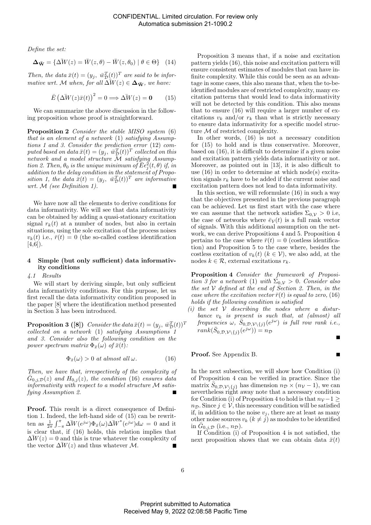Define the set:

$$
\Delta_{\bar{\mathbf{W}}} = \{ \Delta \bar{W}(z) = \bar{W}(z, \theta) - \bar{W}(z, \theta_0) \mid \theta \in \Theta \} \quad (14)
$$

Then, the data  $\bar{x}(t) = (y_j, \ \bar{w}_D^T(t))^T$  are said to be informative wrt. M when, for all  $\overline{\Delta W}(z) \in \Delta_{\overline{W}}$ , we have:

$$
\bar{E} \left( \Delta \bar{W}(z)\bar{x}(t) \right)^2 = 0 \Longrightarrow \Delta \bar{W}(z) = \mathbf{0} \quad (15)
$$

We can summarize the above discussion in the following proposition whose proof is straightforward.

Proposition 2 Consider the stable MISO system (6) that is an element of a network (1) satisfying Assumptions 1 and 3. Consider the prediction error (12) computed based on data  $\bar{x}(t) = (y_j, \ \bar{w}_\mathcal{D}^T(t))^T$  collected on this network and a model structure M satisfying Assumption 2. Then,  $\theta_0$  is the unique minimum of  $\overline{\tilde{E}} \epsilon_j^2(t, \theta)$  if, in addition to the delay condition in the statement of Proposition 1, the data  $\bar{x}(t) = (y_j, \bar{w}_D^T(t))^T$  are informative wrt. M (see Definition 1).

We have now all the elements to derive conditions for data informativity. We will see that data informativity can be obtained by adding a quasi-stationary excitation signal  $r_k(t)$  at a number of nodes, but also in certain situations, using the sole excitation of the process noises  $v_k(t)$  i.e.,  $\bar{r}(t) = 0$  (the so-called costless identification  $[4,6]$ ).

## 4 Simple (but only sufficient) data informativity conditions

## 4.1 Results

We will start by deriving simple, but only sufficient data informativity conditions. For this purpose, let us first recall the data informativity condition proposed in the paper [8] where the identification method presented in Section 3 has been introduced.

**Proposition 3** ([8]) Consider the data  $\bar{x}(t) = (y_j, \ \bar{w}_D^T(t))^T$ collected on a network (1) satisfying Assumptions 1 and 3. Consider also the following condition on the power spectrum matrix  $\Phi_{\bar{x}}(\omega)$  of  $\bar{x}(t)$ :

$$
\Phi_{\bar{x}}(\omega) > 0 \text{ at almost all } \omega.
$$
 (16)

Then, we have that, irrespectively of the complexity of  $\bar{G}_{0,j,\mathcal{D}}(z)$  and  $H_{0,j}(z)$ , the condition (16) ensures data informativity with respect to a model structure M satisfying Assumption 2.

Proof. This result is a direct consequence of Definition 1. Indeed, the left-hand side of (15) can be rewritten as  $\frac{1}{2\pi} \int_{-\pi}^{\pi} \Delta W(e^{j\omega}) \Phi_{\bar{x}}(\omega) \Delta W^*(e^{j\omega}) d\omega = 0$  and it is clear that, if (16) holds, this relation implies that  $\Delta W(z) = 0$  and this is true whatever the complexity of the vector  $\Delta W(z)$  and thus whatever M.  $\blacksquare$ 

Proposition 3 means that, if a noise and excitation pattern yields (16), this noise and excitation pattern will ensure consistent estimates of modules that can have infinite complexity. While this could be seen as an advantage in some cases, this also means that, when the to-beidentified modules are of restricted complexity, many excitation patterns that would lead to data informativity will not be detected by this condition. This also means that to ensure (16) will require a larger number of excitations  $v_k$  and/or  $r_k$  than what is strictly necessary to ensure data informativity for a specific model structure M of restricted complexity.

In other words, (16) is not a necessary condition for (15) to hold and is thus conservative. Moreover, based on (16), it is difficult to determine if a given noise and excitation pattern yields data informativity or not. Moreover, as pointed out in [13], it is also difficult to use (16) in order to determine at which node(s) excitation signals  $r_k$  have to be added if the current noise and excitation pattern does not lead to data informativity.

In this section, we will reformulate (16) in such a way that the objectives presented in the previous paragraph can be achieved. Let us first start with the case where we can assume that the network satisfies  $\Sigma_{0,\mathcal{V}} > 0$  i.e, the case of networks where  $\bar{e}_V(t)$  is a full rank vector of signals. With this additional assumption on the network, we can derive Propositions 4 and 5. Proposition 4 pertains to the case where  $\bar{r}(t) = 0$  (costless identification) and Proposition 5 to the case where, besides the costless excitation of  $v_k(t)$  ( $k \in \mathcal{V}$ ), we also add, at the nodes  $k \in \mathcal{R}$ , external excitations  $r_k$ .

Proposition 4 Consider the framework of Proposition 3 for a network (1) with  $\Sigma_{0,\mathcal{V}} > 0$ . Consider also the set  $V$  defined at the end of Section 2. Then, in the case where the excitation vector  $\bar{r}(t)$  is equal to zero, (16) holds if the following condition is satisfied

(i) the set  $V$  describing the nodes where a disturbance  $v_k$  is present is such that, at (almost) all  $frequencies \,\,\omega, \,\,\bar S_{0,\mathcal{D},\mathcal{V}\backslash\{j\}}(e^{j\omega}) \,\,\,is \,\,full \,\,\,row \,\,rank \,\,i.e.,$  $rank(\bar{S}_{0,D,\mathcal{V}\setminus\{j\}}(e^{j\omega}))=n_{\mathcal{D}}$ 

Proof. See Appendix B.

In the next subsection, we will show how Condition (i) of Proposition 4 can be verified in practice. Since the matrix  $\overline{S}_{0,\mathcal{D},\mathcal{V}\setminus\{j\}}$  has dimension  $n_{\mathcal{D}} \times (n_{\mathcal{V}}-1)$ , we can nevertheless right away note that a necessary condition for Condition (i) of Proposition 4 to hold is that  $n_{\mathcal{V}}$  –1 ≥  $n_{\mathcal{D}}$ . Since  $j \in \mathcal{V}$ , this necessary condition will be satisfied if, in addition to the noise  $v_i$ , there are at least as many other noise sources  $v_k$   $(k \neq j)$  as modules to be identified in  $\bar{G}_{0,j,\mathcal{D}}$  (i.e.,  $n_{\mathcal{D}}$ ).

If Condition (i) of Proposition 4 is not satisfied, the next proposition shows that we can obtain data  $\bar{x}(t)$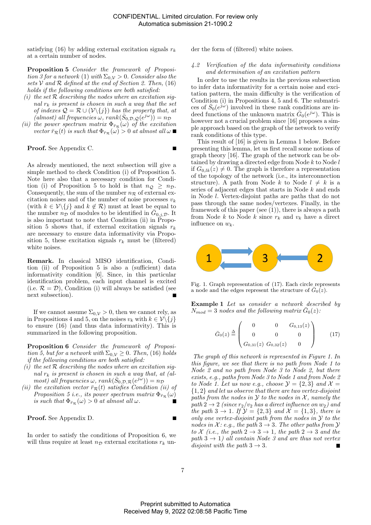satisfying (16) by adding external excitation signals  $r_k$ at a certain number of nodes.

Proposition 5 Consider the framework of Proposition 3 for a network (1) with  $\Sigma_{0,\mathcal{V}} > 0$ . Consider also the sets V and R defined at the end of Section 2. Then,  $(16)$ holds if the following conditions are both satisfied:

- (i) the set  $R$  describing the nodes where an excitation signal  $r_k$  is present is chosen in such a way that the set of indexes  $Q = \mathcal{R} \cup (\mathcal{V}\backslash\{j\})$  has the property that, at  $\left(\text{almost}\right)$  all frequencies  $\omega$ ,  $\text{rank}(\bar{S}_{0,D,Q}(e^{j\omega}))=n_D$
- (ii) the power spectrum matrix  $\Phi_{\bar{r}_R}(\omega)$  of the excitation vector  $\bar{r}_R(t)$  is such that  $\Phi_{\bar{r}_R}(\omega) > 0$  at almost all  $\omega \blacksquare$

Proof. See Appendix C.

As already mentioned, the next subsection will give a simple method to check Condition (i) of Proposition 5. Note here also that a necessary condition for Condition (i) of Proposition 5 to hold is that  $n_Q \geq n_D$ . Consequently, the sum of the number  $n_R$  of external excitation noises and of the number of noise processes  $v_k$ (with  $k \in \mathcal{V}\backslash\{j\}$  and  $k \notin \mathcal{R}$ ) must at least be equal to the number  $n_D^{\sigma}$  of modules to be identified in  $\bar{G}_{0,j,D}$ . It is also important to note that Condition (ii) in Proposition 5 shows that, if external excitation signals  $r_k$ are necessary to ensure data informativity via Proposition 5, these excitation signals  $r_k$  must be (filtered) white noises.

Remark. In classical MISO identification, Condition (ii) of Proposition 5 is also a (sufficient) data informativity condition [6]. Since, in this particular identification problem, each input channel is excited (i.e.  $\mathcal{R} = \mathcal{D}$ ), Condition (i) will always be satisfied (see next subsection).

If we cannot assume  $\Sigma_{0,\mathcal{V}} > 0$ , then we cannot rely, as in Propositions 4 and 5, on the noises  $v_k$  with  $k \in \mathcal{V}\backslash\{j\}$ to ensure (16) (and thus data informativity). This is summarized in the following proposition.

Proposition 6 Consider the framework of Proposition 5, but for a network with  $\Sigma_{0,\mathcal{V}} \geq 0$ . Then, (16) holds if the following conditions are both satisfied:

- (i) the set  $R$  describing the nodes where an excitation signal  $r_k$  is present is chosen in such a way that, at (al $most)$  all frequencies  $\omega$ ,  $rank(\bar{S}_{0,\mathcal{D},\mathcal{R}}(e^{j\tilde{\omega}}))=n_{\mathcal{D}}$
- (ii) the excitation vector  $\bar{r}_R(t)$  satisfies Condition (ii) of Proposition 5 i.e., its power spectrum matrix  $\Phi_{\bar{r}_R}(\omega)$ is such that  $\Phi_{\bar{r}_R}(\omega) > 0$  at almost all  $\omega$ .

## Proof. See Appendix D.

In order to satisfy the conditions of Proposition 6, we will thus require at least  $n_{\mathcal{D}}$  external excitations  $r_k$  under the form of (filtered) white noises.

# 4.2 Verification of the data informativity conditions and determination of an excitation pattern

In order to use the results in the previous subsection to infer data informativity for a certain noise and excitation pattern, the main difficulty is the verification of Condition (i) in Propositions 4, 5 and 6. The submatrices of  $\bar{S}_0(e^{j\omega})$  involved in these rank conditions are indeed functions of the unknown matrix  $\bar{G}_0(e^{j\omega})$ . This is however not a crucial problem since [16] proposes a simple approach based on the graph of the network to verify rank conditions of this type.

This result of [16] is given in Lemma 1 below. Before presenting this lemma, let us first recall some notions of graph theory [16]. The graph of the network can be obtained by drawing a directed edge from Node  $k$  to Node  $l$ if  $G_{0,lk}(z) \neq 0$ . The graph is therefore a representation of the topology of the network (i.e., its interconnection structure). A path from Node k to Node  $l \neq k$  is a series of adjacent edges that starts in Node k and ends in Node l. Vertex-disjoint paths are paths that do not pass through the same nodes/vertexes. Finally, in the framework of this paper (see  $(1)$ ), there is always a path from Node k to Node k since  $r_k$  and  $v_k$  have a direct influence on  $w_k$ .



Fig. 1. Graph representation of (17). Each circle represents a node and the edges represent the structure of  $\bar{G}_0(z)$ .

Example 1 Let us consider a network described by  $N_{mod} = 3$  nodes and the following matrix  $\bar{G}_0(z)$ .

$$
\bar{G}_0(z) \stackrel{\Delta}{=} \begin{pmatrix} 0 & 0 & G_{0,13}(z) \\ 0 & 0 & 0 \\ G_{0,31}(z) & G_{0,32}(z) & 0 \end{pmatrix}
$$
 (17)

The graph of this network is represented in Figure 1. In this figure, we see that there is no path from Node 1 to Node 2 and no path from Node 3 to Node 2, but there exists, e.g., paths from Node 3 to Node 1 and from Node 2 to Node 1. Let us now e.g., choose  $\mathcal{Y} = \{2,3\}$  and  $\mathcal{X} =$  $\{1,2\}$  and let us observe that there are two vertex-disjoint paths from the nodes in  $Y$  to the nodes in  $X$ , namely the path  $2 \rightarrow 2$  (since  $r_2/v_2$  has a direct influence on  $w_2$ ) and the path  $3 \rightarrow 1$ . If  $\mathcal{Y} = \{2,3\}$  and  $\mathcal{X} = \{1,3\}$ , there is only one vertex-disjoint path from the nodes in  $\mathcal Y$  to the nodes in X: e.g., the path  $3 \rightarrow 3$ . The other paths from Y to X (i.e., the path  $2 \rightarrow 3 \rightarrow 1$ , the path  $2 \rightarrow 3$  and the path  $3 \rightarrow 1$ ) all contain Node 3 and are thus not vertex disjoint with the path  $3 \rightarrow 3$ .  $\blacksquare$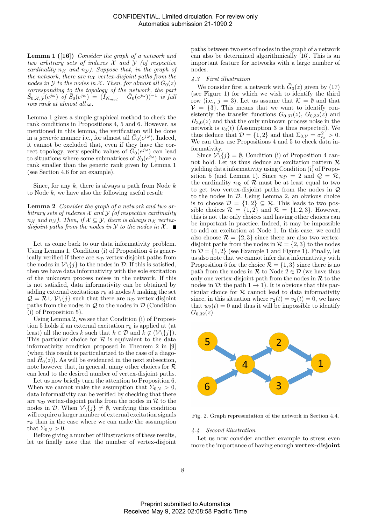Lemma 1 ([16]) Consider the graph of a network and two arbitrary sets of indexes  $X$  and  $Y$  (of respective cardinality  $n_x$  and  $n_y$ ). Suppose that, in the graph of the network, there are  $n_x$  vertex-disjoint paths from the nodes in  $\mathcal Y$  to the nodes in  $\mathcal X$ . Then, for almost all  $\bar G_0(z)$ corresponding to the topology of the network, the part  $\bar{S}_{0,\mathcal{X},\mathcal{Y}}(e^{j\omega}) \hat{g}^f \bar{S}_0(e^{j\omega}) = (\tilde{I}_{N_{mod}} - \bar{G}_0(e^{j\omega}))^{-1}$  is full row rank at almost all  $\omega$ .

Lemma 1 gives a simple graphical method to check the rank conditions in Propositions 4, 5 and 6. However, as mentioned in this lemma, the verification will be done in a *generic* manner i.e., for almost all  $\bar{G}_0(e^{j\omega})$ . Indeed, it cannot be excluded that, even if they have the correct topology, very specific values of  $\vec{G}_0(e^{j\omega})$  can lead to situations where some submatrices of  $\tilde{S}_0(e^{j\omega})$  have a rank smaller than the generic rank given by Lemma 1 (see Section 4.6 for an example).

Since, for any  $k$ , there is always a path from Node  $k$ to Node  $k$ , we have also the following useful result:

**Lemma 2** Consider the graph of a network and two arbitrary sets of indexes  $\mathcal X$  and  $\mathcal Y$  (of respective cardinality  $n_{\mathcal{X}}$  and  $n_{\mathcal{Y}}$ ). Then, if  $\mathcal{X} \subseteq \mathcal{Y}$ , there is always  $n_{\mathcal{X}}$  vertexdisjoint paths from the nodes in  $\mathcal Y$  to the nodes in  $\mathcal X$ .

Let us come back to our data informativity problem. Using Lemma 1, Condition (i) of Proposition 4 is generically verified if there are  $n<sub>D</sub>$  vertex-disjoint paths from the nodes in  $\mathcal{V}\backslash\{j\}$  to the nodes in  $\mathcal{D}$ . If this is satisfied, then we have data informativity with the sole excitation of the unknown process noises in the network. If this is not satisfied, data informativity can be obtained by adding external excitations  $r_k$  at nodes k making the set  $\mathcal{Q} = \mathcal{R} \cup \mathcal{V} \setminus \{j\}$  such that there are  $n_{\mathcal{D}}$  vertex disjoint paths from the nodes in  $Q$  to the nodes in  $D$  (Condition (i) of Proposition 5).

Using Lemma 2, we see that Condition (i) of Proposition 5 holds if an external excitation  $r_k$  is applied at (at least) all the nodes k such that  $k \in \mathcal{D}$  and  $k \notin (\mathcal{V}\backslash \{j\})$ . This particular choice for  $R$  is equivalent to the data informativity condition proposed in Theorem 2 in [9] (when this result is particularized to the case of a diagonal  $\bar{H}_0(z)$ ). As will be evidenced in the next subsection, note however that, in general, many other choices for  $\mathcal R$ can lead to the desired number of vertex-disjoint paths.

Let us now briefly turn the attention to Proposition 6. When we cannot make the assumption that  $\Sigma_{0,\mathcal{V}} > 0$ , data informativity can be verified by checking that there are  $n_{\mathcal{D}}$  vertex-disjoint paths from the nodes in  $\mathcal R$  to the nodes in D. When  $\mathcal{V}\backslash\{j\}\neq\emptyset$ , verifying this condition will require a larger number of external excitation signals  $r_k$  than in the case where we can make the assumption that  $\Sigma_{0,\mathcal{V}} > 0$ .

Before giving a number of illustrations of these results, let us finally note that the number of vertex-disjoint paths between two sets of nodes in the graph of a network can also be determined algorithmically [16]. This is an important feature for networks with a large number of nodes.

#### 4.3 First illustration

We consider first a network with  $\bar{G}_0(z)$  given by (17) (see Figure 1) for which we wish to identify the third row (i.e.,  $j = 3$ ). Let us assume that  $\mathcal{K} = \emptyset$  and that  $V = \{3\}$ . This means that we want to identify consistently the transfer functions  $G_{0,31}(z)$ ,  $G_{0,32}(z)$  and  $H_{3,0}(z)$  and that the only unknown process noise in the network is  $v_3(t)$  (Assumption 3 is thus respected). We thus deduce that  $\mathcal{D} = \{1, 2\}$  and that  $\Sigma_{0,\mathcal{V}} = \sigma_{e_3}^2 > 0$ . We can thus use Propositions 4 and 5 to check data informativity.

Since  $\mathcal{V}\backslash\{j\} = \emptyset$ , Condition (i) of Proposition 4 cannot hold. Let us thus deduce an excitation pattern  $\mathcal R$ yielding data informativity using Condition (i) of Proposition 5 (and Lemma 1). Since  $n_{\mathcal{D}} = 2$  and  $\mathcal{Q} = \mathcal{R}$ , the cardinality  $n_R$  of  $\mathcal R$  must be at least equal to two to get two vertex-disjoint paths from the nodes in Q to the nodes in D. Using Lemma 2, an obvious choice is to choose  $\mathcal{D} = \{1, 2\} \subseteq \mathcal{R}$ . This leads to two possible choices  $\mathcal{R} = \{1, 2\}$  and  $\mathcal{R} = \{1, 2, 3\}$ . However, this is not the only choices and having other choices can be important in practice. Indeed, it may be impossible to add an excitation at Node 1. In this case, we could also choose  $\mathcal{R} = \{2, 3\}$  since there are also two vertexdisjoint paths from the nodes in  $\mathcal{R} = \{2,3\}$  to the nodes in  $\mathcal{D} = \{1, 2\}$  (see Example 1 and Figure 1). Finally, let us also note that we cannot infer data informativity with Proposition 5 for the choice  $\mathcal{R} = \{1,3\}$  since there is no path from the nodes in R to Node  $2 \in \mathcal{D}$  (we have thus only one vertex-disjoint path from the nodes in  $R$  to the nodes in  $\mathcal{D}$ : the path  $1 \rightarrow 1$ ). It is obvious that this particular choice for  $R$  cannot lead to data informativity since, in this situation where  $r_2(t) = v_2(t) = 0$ , we have that  $w_2(t) = 0$  and thus it will be impossible to identify  $G_{0.32}(z)$ .



Fig. 2. Graph representation of the network in Section 4.4.

#### 4.4 Second illustration

Let us now consider another example to stress even more the importance of having enough **vertex-disjoint**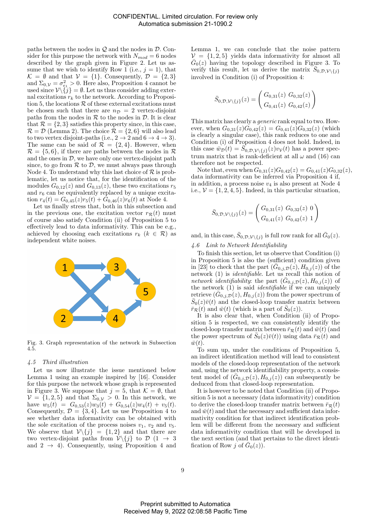paths between the nodes in  $\mathcal Q$  and the nodes in  $\mathcal D$ . Consider for this purpose the network with  $N_{mod} = 6$  nodes described by the graph given in Figure 2. Let us assume that we wish to identify Row 1 (i.e.,  $j = 1$ ), that  $\mathcal{K} = \emptyset$  and that  $\mathcal{V} = \{1\}$ . Consequently,  $\mathcal{D} = \{2,3\}$ and  $\Sigma_{0,\mathcal{V}} = \sigma_{e_1}^2 > 0$ . Here also, Proposition 4 cannot be used since  $\mathcal{V}\backslash \{j\} = \emptyset$ . Let us thus consider adding external excitations  $r_k$  to the network. According to Proposition 5, the locations  $R$  of these external excitations must be chosen such that there are  $n_{\mathcal{D}} = 2$  vertex-disjoint paths from the nodes in  $R$  to the nodes in  $D$ . It is clear that  $\mathcal{R} = \{2, 3\}$  satisfies this property since, in this case,  $\mathcal{R} = \mathcal{D}$  (Lemma 2). The choice  $\mathcal{R} = \{2, 6\}$  will also lead to two vertex disjoint-paths (i.e.,  $2 \rightarrow 2$  and  $6 \rightarrow 4 \rightarrow 3$ ). The same can be said of  $\mathcal{R} = \{2, 4\}$ . However, when  $\mathcal{R} = \{5, 6\}$ , if there are paths between the nodes in  $\mathcal{R}$ and the ones in  $\mathcal{D}$ , we have only one vertex-disjoint path since, to go from  $R$  to  $D$ , we must always pass through Node 4. To understand why this last choice of  $\mathcal R$  is problematic, let us notice that, for the identification of the modules  $G_{0,12}(z)$  and  $G_{0,13}(z)$ , these two excitations  $r_5$ and  $r_6$  can be equivalently replaced by a unique excitation  $r_4(t) = G_{0,45}(z)r_5(t) + G_{0,46}(z)r_6(t)$  at Node 4.

Let us finally stress that, both in this subsection and in the previous one, the excitation vector  $r_R(t)$  must of course also satisfy Condition (ii) of Proposition 5 to effectively lead to data informativity. This can be e.g., achieved by choosing each excitations  $r_k$  ( $k \in \mathcal{R}$ ) as independent white noises.



Fig. 3. Graph representation of the network in Subsection 4.5.

# 4.5 Third illustration

Let us now illustrate the issue mentioned below Lemma 1 using an example inspired by [16]. Consider for this purpose the network whose graph is represented in Figure 3. We suppose that  $j = 5$ , that  $\mathcal{K} = \emptyset$ , that  $\mathcal{V} = \{1, 2, 5\}$  and that  $\Sigma_{0,\mathcal{V}} > 0$ . In this network, we have  $w_5(t) = G_{0,53}(z)w_3(t) + G_{0,54}(z)w_4(t) + v_5(t)$ . Consequently,  $\mathcal{D} = \{3, 4\}$ . Let us use Proposition 4 to see whether data informativity can be obtained with the sole excitation of the process noises  $v_1, v_2$  and  $v_5$ . We observe that  $\mathcal{V}\backslash\{j\} = \{1,2\}$  and that there are two vertex-disjoint paths from  $\mathcal{V}\backslash\{j\}$  to  $\mathcal{D}$   $(1 \rightarrow 3)$ and  $2 \rightarrow 4$ ). Consequently, using Proposition 4 and Lemma 1, we can conclude that the noise pattern  $V = \{1, 2, 5\}$  yields data informativity for almost all  $\bar{G}_0(z)$  having the topology described in Figure 3. To verify this result, let us derive the matrix  $\overline{S}_{0,\mathcal{D},\mathcal{V}\setminus\{j\}}$ involved in Condition (i) of Proposition 4:

$$
\bar{S}_{0,\mathcal{D},\mathcal{V}\backslash\{j\}}(z) = \begin{pmatrix} G_{0,31}(z) & G_{0,32}(z) \\ G_{0,41}(z) & G_{0,42}(z) \end{pmatrix}
$$

This matrix has clearly a generic rank equal to two. However, when  $G_{0,31}(z)G_{0,42}(z) = G_{0,41}(z)G_{0,32}(z)$  (which is clearly a singular case), this rank reduces to one and Condition (i) of Proposition 4 does not hold. Indeed, in this case  $\overrightarrow{w}_{\mathcal{D}}(t) = \overrightarrow{S}_{0,\mathcal{D},\mathcal{V}\setminus\{j\}}(z)v_{\mathcal{V}}(t)$  has a power spectrum matrix that is rank-deficient at all  $\omega$  and (16) can therefore not be respected.

Note that, even when  $G_{0,31}(z)G_{0,42}(z) = G_{0,41}(z)G_{0,32}(z)$ , data informativity can be inferred via Proposition 4 if, in addition, a process noise  $v_4$  is also present at Node 4 i.e.,  $V = \{1, 2, 4, 5\}$ . Indeed, in this particular situation,

$$
\bar{S}_{0,\mathcal{D},\mathcal{V}\backslash{\{j\}}}(z) = \begin{pmatrix} G_{0,31}(z) & G_{0,32}(z) & 0 \\ G_{0,41}(z) & G_{0,42}(z) & 1 \end{pmatrix}
$$

and, in this case,  $\bar{S}_{0,D,\mathcal{V}\setminus\{j\}}$  is full row rank for all  $\bar{G}_0(z)$ .

## 4.6 Link to Network Identifiability

To finish this section, let us observe that Condition (i) in Proposition 5 is also the (sufficient) condition given in [23] to check that the part  $(\bar{G}_{0,j}, \bar{D}(z), H_{0,j}(z))$  of the network (1) is *identifiable*. Let us recall this notion of network identifiability: the part  $(\bar{G}_{0,j,D}(z), H_{0,j}(z))$  of the network  $(1)$  is said *identifiable* if we can uniquely retrieve  $(\bar{G}_{0,j}, \bar{D}(z), H_{0,j}(z))$  from the power spectrum of  $\bar{S}_0(z)\bar{v}(t)$  and the closed-loop transfer matrix between  $\overline{r}_{\mathcal{R}}(t)$  and  $\overline{w}(t)$  (which is a part of  $\overline{S}_0(z)$ ).

It is also clear that, when Condition (ii) of Proposition 5 is respected, we can consistently identify the closed-loop transfer matrix between  $\bar{r}_R(t)$  and  $\bar{w}(t)$  (and the power spectrum of  $\bar{S}_0(z)\bar{v}(t)$  using data  $\bar{r}_R(t)$  and  $\bar{w}(t)$ .

To sum up, under the conditions of Proposition 5, an indirect identification method will lead to consistent models of the closed-loop representation of the network and, using the network identifiability property, a consistent model of  $(\bar{G}_{0,j,D}(z), H_{0,j}(z))$  can subsequently be deduced from that closed-loop representation.

It is however to be noted that Condition (ii) of Proposition 5 is not a necessary (data informativity) condition to derive the closed-loop transfer matrix between  $\bar{r}_R(t)$ and  $\bar{w}(t)$  and that the necessary and sufficient data informativity condition for that indirect identification problem will be different from the necessary and sufficient data informativity condition that will be developed in the next section (and that pertains to the direct identification of Row  $\hat{j}$  of  $\bar{G}_0(z)$ .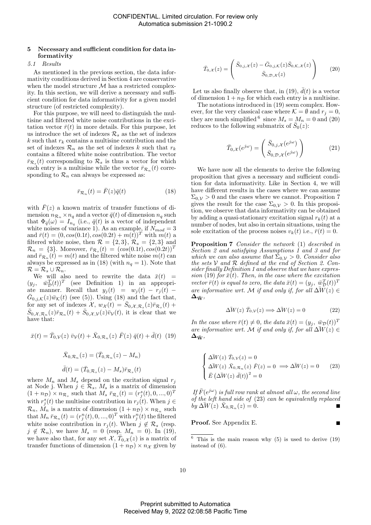# 5 Necessary and sufficient condition for data informativity

## 5.1 Results

As mentioned in the previous section, the data informativity conditions derived in Section 4 are conservative when the model structure  $M$  has a restricted complexity. In this section, we will derive a necessary and sufficient condition for data informativity for a given model structure (of restricted complexity).

For this purpose, we will need to distinguish the multisine and filtered white noise contributions in the excitation vector  $\bar{r}(t)$  in more details. For this purpose, let us introduce the set of indexes  $\mathcal{R}_s$  as the set of indexes k such that  $r_k$  contains a multisine contribution and the set of indexes  $\mathcal{R}_n$  as the set of indexes k such that  $r_k$ contains a filtered white noise contribution. The vector  $\bar{r}_{\mathcal{R}_s}(t)$  corresponding to  $\mathcal{R}_s$  is thus a vector for which each entry is a multisine while the vector  $\bar{r}_{\mathcal{R}_n}(t)$  corresponding to  $\mathcal{R}_n$  can always be expressed as:

$$
\bar{r}_{\mathcal{R}_n}(t) = \bar{F}(z)\bar{q}(t) \tag{18}
$$

with  $F(z)$  a known matrix of transfer functions of dimension  $n_{\mathcal{R}_n} \times n_q$  and a vector  $\bar{q}(t)$  of dimension  $n_q$  such that  $\Phi_{\bar{q}}(\omega) = I_{n_q}$  (i.e.,  $\bar{q}(t)$  is a vector of independent white noises of variance 1). As an example, if  $N_{mod} = 3$ and  $\bar{r}(t) = (0, cos(0.1t), cos(0.2t) + m(t))^T$  with  $m(t)$  a filtered white noise, then  $\mathcal{R} = \{2, 3\}$ ,  $\mathcal{R}_s = \{2, 3\}$  and  $\mathcal{R}_n = \{3\}$ . Moreover,  $\bar{r}_{\mathcal{R}_s}(t) = (cos(0.1t), cos(0.2t))^T$ and  $\bar{r}_{\mathcal{R}_n}(t) = m(t)$  and the filtered white noise  $m(t)$  can always be expressed as in (18) (with  $n_q = 1$ ). Note that  $\mathcal{R} = \mathcal{R}_s \cup \mathcal{R}_n.$ 

We will also need to rewrite the data  $\bar{x}(t)$  =  $(y_j, \quad \bar{w}_D^T(t))^T$  (see Definition 1) in an appropriate manner. Recall that  $y_j(t) = w_j(t) - r_j(t)$  $\bar{G}_{0,j,\mathcal{K}}(z)\bar{w}_{\mathcal{K}}(t)$  (see (5)). Using (18) and the fact that, for any set of indexes  $\mathcal{X}, w_{\mathcal{X}}(t) = \overline{S}_{0,\mathcal{X},\mathcal{R}_s}(z)\overline{r}_{\mathcal{R}_s}(t) +$  $\bar{S}_{0,\mathcal{X},\mathcal{R}_n}(z)\bar{r}_{\mathcal{R}_n}(t) + \bar{S}_{0,\mathcal{X},\mathcal{V}}(z)\bar{v}_{\mathcal{V}}(t)$ , it is clear that we have that:

$$
\bar{x}(t) = \bar{T}_{0,\mathcal{V}}(z) \ \bar{v}_{\mathcal{V}}(t) + \bar{X}_{0,\mathcal{R}_n}(z) \ \bar{F}(z) \ \bar{q}(t) + \bar{d}(t) \tag{19}
$$
\n
$$
\bar{X}_{0,\mathcal{R}_n}(z) = (\bar{T}_{0,\mathcal{R}_n}(z) - M_n)
$$
\n
$$
\bar{d}(t) = (\bar{T}_{0,\mathcal{R}_s}(z) - M_s) \bar{r}_{\mathcal{R}_s}(t)
$$

where  $M_n$  and  $M_s$  depend on the excitation signal  $r_j$ at Node j. When  $j \in \mathcal{R}_s$ ,  $M_s$  is a matrix of dimension  $(1 + n_{\mathcal{D}}) \times n_{\mathcal{R}_s}$  such that  $M_s \bar{r}_{\mathcal{R}_s}(t) = (r_j^s(t), 0, ..., 0)^T$ with  $r_j^s(t)$  the multisine contribution in  $r_j(t)$ . When  $j \in$  $\mathcal{R}_n$ ,  $M_n$  is a matrix of dimension  $(1 + n_{\mathcal{D}}) \times n_{\mathcal{R}_n}$  such that  $M_n \bar{r}_{\mathcal{R}_n}(t) = (r_j^n(t), 0, ..., 0)^T$  with  $r_j^n(t)$  the filtered white noise contribution in  $r_j(t)$ . When  $j \notin \mathcal{R}_s$  (resp.  $j \notin \mathcal{R}_n$ , we have  $M_s = 0$  (resp.  $M_n = 0$ ). In (19), we have also that, for any set  $\chi$ ,  $\bar{T}_{0,\chi}(z)$  is a matrix of transfer functions of dimension  $(1 + n_{\mathcal{D}}) \times n_{\mathcal{X}}$  given by

$$
\bar{T}_{0,\mathcal{X}}(z) = \begin{pmatrix} \bar{S}_{0,j,\mathcal{X}}(z) - \bar{G}_{0,j,\mathcal{K}}(z)\bar{S}_{0,\mathcal{K},\mathcal{X}}(z) \\ \bar{S}_{0,\mathcal{D},\mathcal{X}}(z) \end{pmatrix}
$$
 (20)

Let us also finally observe that, in (19),  $\bar{d}(t)$  is a vector of dimension  $1 + n_{\mathcal{D}}$  for which each entry is a multisine.

The notations introduced in (19) seem complex. However, for the very classical case where  $\mathcal{K} = \emptyset$  and  $r_j = 0$ , they are much simplified <sup>6</sup> since  $M_s = M_n = 0$  and (20) reduces to the following submatrix of  $\bar{S}_0(z)$ :

$$
\bar{T}_{0,\mathcal{X}}(e^{j\omega}) = \begin{pmatrix} \bar{S}_{0,j,\mathcal{X}}(e^{j\omega}) \\ \bar{S}_{0,\mathcal{D},\mathcal{X}}(e^{j\omega}) \end{pmatrix}
$$
\n(21)

We have now all the elements to derive the following proposition that gives a necessary and sufficient condition for data informativity. Like in Section 4, we will have different results in the cases where we can assume  $\Sigma_{0,V} > 0$  and the cases where we cannot. Proposition 7 gives the result for the case  $\Sigma_{0,\mathcal{V}} > 0$ . In this proposition, we observe that data informativity can be obtained by adding a quasi-stationary excitation signal  $r_k(t)$  at a number of nodes, but also in certain situations, using the sole excitation of the process noises  $v_k(t)$  i.e.,  $\bar{r}(t) = 0$ .

Proposition 7 Consider the network (1) described in Section 2 and satisfying Assumptions  $\hat{I}$  and 3 and for which we can also assume that  $\Sigma_{0,\mathcal{V}} > 0$ . Consider also the sets  $V$  and  $R$  defined at the end of Section 2. Consider finally Definition 1 and observe that we have expression (19) for  $\bar{x}(t)$ . Then, in the case where the excitation vector  $\bar{r}(t)$  is equal to zero, the data  $\bar{x}(t) = (y_j, \bar{w}_D^T(t))^T$ are informative wrt. M if and only if, for all  $\Delta W(z) \in$  $\Delta_{\bar{\mathbf{W}}},$ 

$$
\Delta \bar{W}(z) \bar{T}_{0,\mathcal{V}}(z) \Longrightarrow \Delta \bar{W}(z) = 0 \tag{22}
$$

In the case where  $\bar{r}(t) \neq 0$ , the data  $\bar{x}(t) = (y_j, \bar{w}_{\mathcal{D}}(t))^T$ are informative wrt. M if and only if, for all  $\Delta W(z) \in$  $\Delta_{\bar{\mathbf{W}}},$ 

$$
\begin{cases}\n\Delta \bar{W}(z) \ \bar{T}_{0,\mathcal{V}}(z) = 0 \\
\Delta \bar{W}(z) \ \bar{X}_{0,\mathcal{R}_n}(z) \ \bar{F}(z) = 0 \implies \Delta \bar{W}(z) = 0 \\
\bar{E} (\Delta \bar{W}(z) \ \bar{d}(t))^2 = 0\n\end{cases}
$$
\n(23)

If  $\bar{F}(e^{j\omega})$  is full row rank at almost all  $\omega$ , the second line of the left hand side of (23) can be equivalently replaced by  $\Delta W(z)$   $\bar{X}_{0,\mathcal{R}_n}(z) = 0$ .

Proof. See Appendix E.

 $6$  This is the main reason why  $(5)$  is used to derive  $(19)$ instead of (6).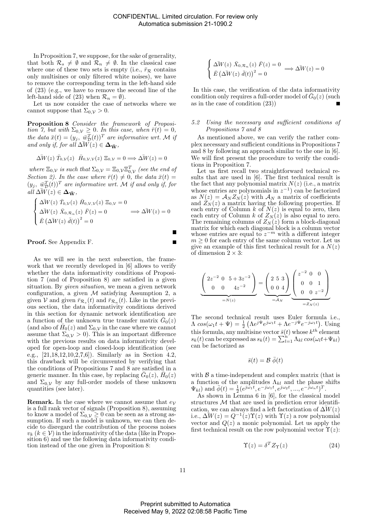In Proposition 7, we suppose, for the sake of generality, that both  $\mathcal{R}_s \neq \emptyset$  and  $\mathcal{R}_n \neq \emptyset$ . In the classical case where one of these two sets is empty (i.e.,  $\bar{r}_R$  contains only multisines or only filtered white noises), we have to remove the corresponding term in the left-hand side of (23) (e.g., we have to remove the second line of the left-hand side of (23) when  $\mathcal{R}_n = \emptyset$ ).

Let us now consider the case of networks where we cannot suppose that  $\Sigma_{0,\mathcal{V}} > 0$ .

Proposition 8 Consider the framework of Proposition 7, but with  $\Sigma_{0,\mathcal{V}} \geq 0$ . In this case, when  $\bar{r}(t) = 0$ , the data  $\bar{x}(t) = (y_j, \bar{w}_D^T(t))^T$  are informative wrt. M if and only if, for all  $\Delta W(z) \in \Delta_{\bar{W}}$ ,

$$
\Delta \bar{W}(z) \bar{T}_{0,\mathcal{V}}(z) \bar{H}_{0,\mathcal{V},\mathcal{V}}(z) \Xi_{0,\mathcal{V}} = 0 \Longrightarrow \Delta \bar{W}(z) = 0
$$

where  $\Xi_{0,\mathcal{V}}$  is such that  $\Sigma_{0,\mathcal{V}} = \Xi_{0,\mathcal{V}} \Xi_{0,\mathcal{V}}^T$  (see the end of Section 2). In the case where  $\bar{r}(t) \neq 0$ , the data  $\bar{x}(t) =$  $(y_j, \ \overline{\psi}_D^T(t))^T$  are informative wrt. M if and only if, for  $all \Delta W(z) \in \Delta_{\bar{\mathbf{W}}},$ 

$$
\begin{cases}\n\Delta \bar{W}(z) \ \bar{T}_{0,\mathcal{V}}(z) \ \bar{H}_{0,\mathcal{V},\mathcal{V}}(z) \ \Xi_{0,\mathcal{V}} = 0 \\
\Delta \bar{W}(z) \ \bar{X}_{0,\mathcal{R}_n}(z) \ \bar{F}(z) = 0 \\
\bar{E} (\Delta \bar{W}(z) \ \bar{d}(t))^2 = 0\n\end{cases} \implies \Delta \bar{W}(z) = 0
$$

Proof. See Appendix F.

As we will see in the next subsection, the framework that we recently developed in [6] allows to verify whether the data informativity conditions of Proposition 7 (and of Proposition 8) are satisfied in a given situation. By *given situation*, we mean a given network configuration, a given  $M$  satisfying Assumption 2, a given  $V$  and given  $\bar{r}_{\mathcal{R}_s}(t)$  and  $\bar{r}_{\mathcal{R}_n}(t)$ . Like in the previous section, the data informativity conditions derived in this section for dynamic network identification are a function of the unknown true transfer matrix  $\bar{G}_0(z)$ (and also of  $\bar{H}_0(z)$  and  $\Sigma_{0,\mathcal{V}}$  in the case where we cannot assume that  $\Sigma_{0,\mathcal{V}} > 0$ . This is an important difference with the previous results on data informativity developed for open-loop and closed-loop identification (see e.g., [21,18,12,10,2,7,6]). Similarly as in Section 4.2, this drawback will be circumvented by verifying that the conditions of Propositions 7 and 8 are satisfied in a generic manner. In this case, by replacing  $\bar{G}_0(z)$ ,  $\bar{H}_0(z)$ and  $\Sigma_{0,\mathcal{V}}$  by any full-order models of these unknown quantities (see later).

**Remark.** In the case where we cannot assume that  $e<sub>V</sub>$ is a full rank vector of signals (Proposition 8), assuming to know a model of  $\Sigma_{0,\mathcal{V}} \geq 0$  can be seen as a strong assumption. If such a model is unknown, we can then decide to disregard the contribution of the process noises  $v_k$   $(k \in V)$  in the informativity of the data (like in Proposition 6) and use the following data informativity condition instead of the one given in Proposition 8:

$$
\begin{cases}\n\Delta \bar{W}(z) \ \bar{X}_{0,\mathcal{R}_n}(z) \ \bar{F}(z) = 0 \\
\bar{E} (\Delta \bar{W}(z) \ \bar{d}(t))^2 = 0\n\end{cases} \Longrightarrow \Delta \bar{W}(z) = 0
$$

In this case, the verification of the data informativity condition only requires a full-order model of  $\bar{G}_0(z)$  (such as in the case of condition (23))

# 5.2 Using the necessary and sufficient conditions of Propositions 7 and 8

As mentioned above, we can verify the rather complex necessary and sufficient conditions in Propositions 7 and 8 by following an approach similar to the one in [6]. We will first present the procedure to verify the conditions in Proposition 7.

Let us first recall two straightforward technical results that are used in [6]. The first technical result is the fact that any polynomial matrix  $N(z)$  (i.e., a matrix whose entries are polynomials in  $z^{-1}$  can be factorized as  $N(z) = A_N Z_N(z)$  with  $A_N$  a matrix of coefficients and  $Z_N(z)$  a matrix having the following properties. If each entry of Column  $k$  of  $N(z)$  is equal to zero, then each entry of Column k of  $Z_N(z)$  is also equal to zero. The remaining columns of  $Z_N(z)$  form a block-diagonal matrix for which each diagonal block is a column vector whose entries are equal to  $z^{-m}$  with a different integer  $m \geq 0$  for each entry of the same column vector. Let us give an example of this first technical result for a  $N(z)$ of dimension  $2 \times 3$ :

$$
\underbrace{\begin{pmatrix} 2z^{-2} & 0 & 5+3z^{-2} \\ 0 & 0 & 4z^{-2} \end{pmatrix}}_{=N(z)} = \underbrace{\begin{pmatrix} 2 & 5 & 3 \\ 0 & 0 & 4 \end{pmatrix}}_{=A_N} \underbrace{\begin{pmatrix} z^{-2} & 0 & 0 \\ 0 & 0 & 1 \\ 0 & 0 & z^{-2} \end{pmatrix}}_{=Z_N(z)}
$$

The second technical result uses Euler formula i.e.,  $\Lambda \cos(\omega_1 t + \Psi) = \frac{1}{2} \left( \Lambda e^{j\Psi} e^{j\omega_1 t} + \Lambda e^{-j\Psi} e^{-j\omega_1 t} \right)$ . Using this formula, any multisine vector  $\bar{s}(t)$  whose  $k^{th}$  element  $s_k(t)$  can be expressed as  $s_k(t) = \sum_{l=1}^{n'} \Lambda_{kl} \cos(\omega_l t + \Psi_{kl})$ can be factorized as

$$
\bar{s}(t) = \mathcal{B} \; \bar{\phi}(t)
$$

with  $\beta$  a time-independent and complex matrix (that is a function of the amplitudes  $\Lambda_{kl}$  and the phase shifts  $\Psi_{kl}$ ) and  $\bar{\phi}(t) = \frac{1}{2} (e^{j\omega_1 t}, e^{-j\omega_1 t}, e^{j\omega_2 t}, ..., e^{-j\omega_n t})^T$ .

As shown in Lemma 6 in [6], for the classical model structures  $M$  that are used in prediction error identification, we can always find a left factorization of  $\Delta W(z)$ i.e.,  $\Delta \mathring{W}(z) = Q^{-1}(z) \Upsilon(z)$  with  $\Upsilon(z)$  a row polynomial vector and  $Q(z)$  a monic polynomial. Let us apply the first technical result on the row polynomial vector  $\Upsilon(z)$ :

$$
\Upsilon(z) = \delta^T Z_{\Upsilon}(z) \tag{24}
$$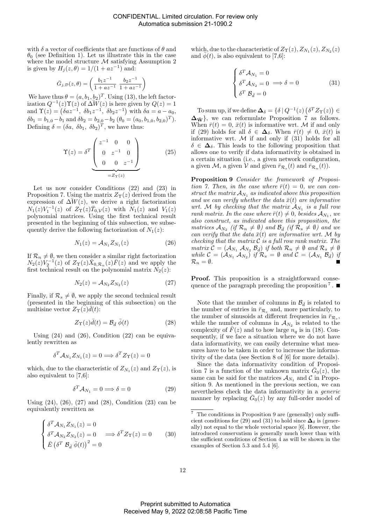with  $\delta$  a vector of coefficients that are functions of  $\theta$  and  $\theta_0$  (see Definition 1). Let us illustrate this in the case where the model structure  ${\cal M}$  satisfying Assumption 2 is given by  $H_j(z, \theta) = 1/(1 + az^{-1})$  and:

$$
\bar{G}_{j,\mathcal{D}}(z,\theta)=\left(\frac{b_1z^{-1}}{1+az^{-1}}~\frac{b_2z^{-1}}{1+az^{-1}}\right)
$$

We have thus  $\theta = (a, b_1, b_2)^T$ . Using (13), the left factorization  $Q^{-1}(z)\Upsilon(z)$  of  $\overline{\Delta W}(z)$  is here given by  $Q(z) = 1$ and  $\Upsilon(z) = (\delta a z^{-1}, \delta b_1 z^{-1}, \delta b_2 z^{-1})$  with  $\delta a = a - a_0$ ,  $\delta b_1 = b_{1,0} - b_1$  and  $\delta b_2 = b_{2,0} - b_2$   $(\theta_0 = (a_0, b_{1,0}, b_{2,0})^T)$ . Defining  $\delta = (\delta a, \ \delta b_1, \ \delta b_2)^T$ , we have thus:

$$
\Upsilon(z) = \delta^T \underbrace{\begin{pmatrix} z^{-1} & 0 & 0 \\ 0 & z^{-1} & 0 \\ 0 & 0 & z^{-1} \end{pmatrix}}_{=Z_{\Upsilon}(z)}
$$
(25)

Let us now consider Conditions (22) and (23) in Proposition 7. Using the matrix  $Z_{\Upsilon}(z)$  derived from the expression of  $\Delta W(z)$ , we derive a right factorization  $N_1(z)V_1^{-1}(z)$  of  $Z_{\Upsilon}(z)\bar{T}_{0,\mathcal{V}}(z)$  with  $N_1(z)$  and  $V_1(z)$ polynomial matrices. Using the first technical result presented in the beginning of this subsection, we subsequently derive the following factorization of  $N_1(z)$ :

$$
N_1(z) = \mathcal{A}_{N_1} Z_{N_1}(z) \tag{26}
$$

If  $\mathcal{R}_n \neq \emptyset$ , we then consider a similar right factorization  $N_2(z)V_2^{-1}(z)$  of  $Z_{\Upsilon}(z)\bar{X}_{0,\mathcal{R}_n}(z)\bar{F}(z)$  and we apply the first technical result on the polynomial matrix  $N_2(z)$ :

$$
N_2(z) = \mathcal{A}_{N_2} Z_{N_2}(z) \tag{27}
$$

Finally, if  $\mathcal{R}_s \neq \emptyset$ , we apply the second technical result (presented in the beginning of this subsection) on the multisine vector  $Z_{\Upsilon}(z)\overline{d}(t)$ :

$$
Z_{\Upsilon}(z)\bar{d}(t) = \mathcal{B}_{\bar{d}}\,\bar{\phi}(t) \tag{28}
$$

Using  $(24)$  and  $(26)$ , Condition  $(22)$  can be equivalently rewritten as

$$
\delta^T \mathcal{A}_{N_1} Z_{N_1}(z) = 0 \Longrightarrow \delta^T Z_{\Upsilon}(z) = 0
$$

which, due to the characteristic of  $Z_{N_1}(z)$  and  $Z_{\Upsilon}(z)$ , is also equivalent to [7,6]:

$$
\delta^T \mathcal{A}_{N_1} = 0 \Longrightarrow \delta = 0 \tag{29}
$$

Using  $(24)$ ,  $(26)$ ,  $(27)$  and  $(28)$ , Condition  $(23)$  can be equivalently rewritten as

$$
\begin{cases}\n\delta^T \mathcal{A}_{N_1} Z_{N_1}(z) = 0 \\
\delta^T \mathcal{A}_{N_2} Z_{N_2}(z) = 0 \implies \delta^T Z_{\Upsilon}(z) = 0 \\
\bar{E} (\delta^T \mathcal{B}_{\bar{d}} \bar{\phi}(t))^2 = 0\n\end{cases} \tag{30}
$$

which, due to the characteristic of  $Z_{\Upsilon}(z)$ ,  $Z_{N_1}(z)$ ,  $Z_{N_2}(z)$ and  $\phi(t)$ , is also equivalent to [7,6]:

$$
\begin{cases}\n\delta^T A_{N_1} = 0 \\
\delta^T A_{N_2} = 0 \implies \delta = 0 \\
\delta^T B_{\bar{d}} = 0\n\end{cases}
$$
\n(31)

To sum up, if we define  $\Delta_{\delta} = \{ \delta \mid Q^{-1}(z) \left( \delta^T Z_{\Upsilon}(z) \right) \in$  $\Delta_{\bar{W}}$ , we can reformulate Proposition 7 as follows. When  $\bar{r}(t) = 0$ ,  $\bar{x}(t)$  is informative wrt. M if and only if (29) holds for all  $\delta \in \Delta_{\delta}$ . When  $\bar{r}(t) \neq 0$ ,  $\bar{x}(t)$  is informative wrt.  $M$  if and only if  $(31)$  holds for all  $\delta \in \Delta_{\delta}$ . This leads to the following proposition that allows one to verify if data informativity is obtained in a certain situation (i.e., a given network configuration, a given  $\mathcal{M}$ , a given  $\mathcal{V}$  and given  $\bar{r}_{\mathcal{R}_s}(t)$  and  $\bar{r}_{\mathcal{R}_n}(t)$ ).

Proposition 9 Consider the framework of Proposition 7. Then, in the case where  $\bar{r}(t) = 0$ , we can construct the matrix  $A_{N_1}$  as indicated above this proposition and we can verify whether the data  $\bar{x}(t)$  are informative wrt. M by checking that the matrix  $A_{N_1}$  is a full row rank matrix. In the case where  $\bar{r}(t) \neq 0$ , besides  $\mathcal{A}_{N_1}$ , we also construct, as indicated above this proposition, the matrices  $\mathcal{A}_{N_2}$  (if  $\mathcal{R}_n \neq \emptyset$ ) and  $\mathcal{B}_{\bar{d}}$  (if  $\mathcal{R}_s \neq \emptyset$ ) and we can verify that the data  $\bar{x}(t)$  are informative wrt. M by checking that the matrix  $C$  is a full row rank matrix. The matrix  $\mathcal{C} = (\mathcal{A}_{N_1} \mathcal{A}_{N_2} \mathcal{B}_{\bar{d}})$  if both  $\mathcal{R}_n \neq \emptyset$  and  $\mathcal{R}_s \neq \emptyset$ while  $\mathcal{C} = (\mathcal{A}_{N_1} \mathcal{A}_{N_2})$  if  $\mathcal{R}_s = \emptyset$  and  $\mathcal{C} = (\mathcal{A}_{N_1} \mathcal{B}_{\bar{d}})$  if  $\mathcal{R}_n = \emptyset$ .

Proof. This proposition is a straightforward consequence of the paragraph preceding the proposition<sup>7</sup>.

Note that the number of columns in  $\mathcal{B}_{\bar{d}}$  is related to the number of entries in  $\bar{r}_{\mathcal{R}_s}$  and, more particularly, to the number of sinusoids at different frequencies in  $\bar{r}_{\mathcal{R}_s}$ , while the number of columns in  $A_{N_2}$  is related to the complexity of  $F(z)$  and to how large  $n_q$  is in (18). Consequently, if we face a situation where we do not have data informativity, we can easily determine what measures have to be taken in order to increase the informativity of the data (see Section 8 of [6] for more details).

Since the data informativity condition of Proposition 7 is a function of the unknown matrix  $\bar{G}_0(z)$ , the same can be said for the matrices  $\mathcal{A}_{N_1}$  and C in Proposition 9. As mentioned in the previous section, we can nevertheless check the data informativity in a generic manner by replacing  $\bar{G}_0(z)$  by any full-order model of

 $^7\,$  The conditions in Proposition 9 are (generally) only sufficient conditions for (29) and (31) to hold since  $\Delta_{\delta}$  is (generally) not equal to the whole vectorial space [6]. However, the introduced conservatism is generally much lower than with the sufficient conditions of Section 4 as will be shown in the examples of Section 5.3 and 5.4 [6].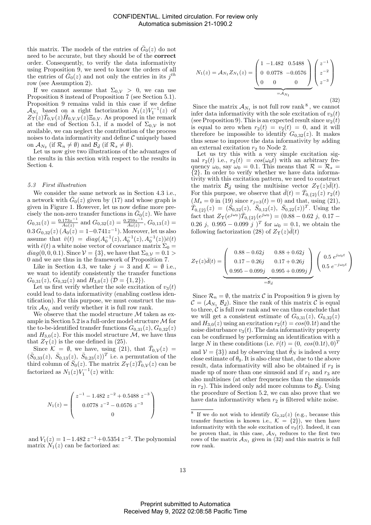this matrix. The models of the entries of  $\bar{G}_0(z)$  do not need to be accurate, but they should be of the correct order. Consequently, to verify the data informativity using Proposition 9, we need to know the orders of all the entries of  $\bar{G}_0(z)$  and not only the entries in its  $j^{th}$ row (see Assumption 2).

If we cannot assume that  $\Sigma_{0,\mathcal{V}} > 0$ , we can use Proposition 8 instead of Proposition 7 (see Section 5.1). Proposition 9 remains valid in this case if we define  $\mathcal{A}_{N_1}$  based on a right factorization  $N_1(z)V_1^{-1}(z)$  of  $Z_{\Upsilon}(z)\bar{T}_{0,\mathcal{V}}(z)\bar{H}_{0,\mathcal{V},\mathcal{V}}(z)\Xi_{0,\mathcal{V}}$ . As proposed in the remark at the end of Section 5.1, if a model of  $\Sigma_{0,\mathcal{V}}$  is not available, we can neglect the contribution of the process noises to data informativity and define  $\mathcal C$  uniquely based on  $\mathcal{A}_{N_2}$  (if  $\mathcal{R}_n \neq \emptyset$ ) and  $\mathcal{B}_{\bar{d}}$  (if  $\mathcal{R}_s \neq \emptyset$ ).

Let us now give two illustrations of the advantages of the results in this section with respect to the results in Section 4.

#### 5.3 First illustration

We consider the same network as in Section 4.3 i.e., a network with  $\bar{G}_0(z)$  given by (17) and whose graph is given in Figure 1. However, let us now define more precisely the non-zero transfer functions in  $\bar{G}_0(z)$ . We have  $G_{0,31}(z) = \frac{0.173z^{-1}}{A_0(z)}$  $\frac{173z^{-1}}{A_0(z)}$  and  $G_{0,32}(z) = \frac{0.259z^{-1}}{A_0(z)}$  $\frac{259z^{-1}}{A_0(z)}, G_{0,13}(z) =$  $0.3 G_{0,32}(z) (A_0(z) = 1 - 0.741z^{-1})$ . Moreover, let us also assume that  $\bar{v}(t) = diag(A_0^{-1}(z), A_0^{-1}(z), A_0^{-1}(z))\bar{e}(t)$ with  $\bar{e}(t)$  a white noise vector of covariance matrix  $\Sigma_0 =$  $diag(0, 0, 0.1)$ . Since  $\mathcal{V} = \{3\}$ , we have that  $\Sigma_{0,\mathcal{V}} = 0.1 >$ 0 and we are thus in the framework of Proposition 7.

Like in Section 4.3, we take  $j = 3$  and  $\mathcal{K} = \emptyset$  i.e., we want to identify consistently the transfer functions  $G_{0,31}(z)$ ,  $G_{0,32}(z)$  and  $H_{3,0}(z)$  ( $\mathcal{D} = \{1,2\}$ ).

Let us first verify whether the sole excitation of  $v_3(t)$ could lead to data informativity (enabling costless identification). For this purpose, we must construct the matrix  $\mathcal{A}_{N_1}$  and verify whether it is full row rank.

We observe that the model structure  $M$  taken as example in Section 5.2 is a full-order model structure  $\mathcal M$  for the to-be-identified transfer functions  $G_{0,31}(z)$ ,  $G_{0,32}(z)$ and  $H_{3,0}(z)$ . For this model structure  $\mathcal{M}$ , we have thus that  $Z_{\Upsilon}(z)$  is the one defined in (25).

Since  $\mathcal{K} = \emptyset$ , we have, using (21), that  $\bar{T}_{0,\mathcal{V}}(z) =$  $(\bar{S}_{0,33}(z), \bar{S}_{0,13}(z), \bar{S}_{0,23}(z))^T$  i.e. a permutation of the third column of  $\bar{S}_0(z)$ . The matrix  $Z_{\Upsilon}(z)\bar{T}_{0,\mathcal{V}}(z)$  can be factorized as  $N_1(z)V_1^{-1}(z)$  with:

$$
N_1(z) = \begin{pmatrix} z^{-1} - 1.482 \ z^{-2} + 0.5488 \ z^{-3} \\ 0.0778 \ z^{-2} - 0.0576 \ z^{-3} \\ 0 \end{pmatrix}
$$

and  $V_1(z) = 1 - 1.482 z^{-1} + 0.5354 z^{-2}$ . The polynomial matrix  $N_1(z)$  can be factorized as:

$$
N_1(z) = A_{N_1} Z_{N_1}(z) = \underbrace{\begin{pmatrix} 1 & -1.482 & 0.5488 \\ 0 & 0.0778 & -0.0576 \\ 0 & 0 & 0 \end{pmatrix}}_{=A_{N_1}} \begin{pmatrix} z^{-1} \\ z^{-2} \\ z^{-3} \end{pmatrix}
$$
\n(32)

Since the matrix  $\mathcal{A}_{N_1}$  is not full row rank <sup>8</sup>, we cannot infer data informativity with the sole excitation of  $v_3(t)$ (see Proposition 9). This is an expected result since  $w_2(t)$ is equal to zero when  $r_2(t) = v_2(t) = 0$ , and it will therefore be impossible to identify  $G_{0,32}(z)$ . It makes thus sense to improve the data informativity by adding an external excitation  $r_2$  to Node 2.

Let us try this with a very simple excitation signal  $r_2(t)$  i.e.,  $r_2(t) = cos(\omega_0 t)$  with an arbitrary frequency  $\omega_0$ , say  $\omega_0 = 0.1$ . This means that  $\mathcal{R} = \mathcal{R}_s =$ {2}. In order to verify whether we have data informativity with this excitation pattern, we need to construct the matrix  $\mathcal{B}_{\bar{d}}$  using the multisine vector  $Z_{\Upsilon}(z)\bar{d}(t)$ . For this purpose, we observe that  $\bar{d}(t) = \bar{T}_{0, {2} (t)}(z) r_2(t)$  $(M_s = 0 \text{ in (19) since } r_{j=3}(t) = 0) \text{ and that, using (21),}$  $\bar{T}_{0,\lbrace 2\rbrace}(z) = (\bar{S}_{0,32}(z), \bar{S}_{0,12}(z), \bar{S}_{0,22}(z))^T$ . Using the fact that  $Z_{\Upsilon}(e^{j\omega_0})\overline{T}_{0,\{2\}}(e^{j\omega_0}) = (0.88 - 0.62 j, 0.17 -$ 0.26 j, 0.995 – 0.099 j  $)^{T}$  for  $\omega_0 = 0.1$ , we obtain the following factorization (28) of  $Z_{\Upsilon}(z)\overline{d}(t)$ 

$$
Z_{\Upsilon}(z)\bar{d}(t) = \underbrace{\begin{pmatrix} 0.88 - 0.62j & 0.88 + 0.62j \\ 0.17 - 0.26j & 0.17 + 0.26j \\ 0.995 - 0.099j & 0.995 + 0.099j \end{pmatrix}}_{= \mathcal{B}_{\bar{d}}}\begin{pmatrix} 0.5 \ e^{j\omega_0 t} \\ 0.5 \ e^{-j\omega_0 t} \end{pmatrix}
$$

Since  $\mathcal{R}_n = \emptyset$ , the matrix C in Proposition 9 is given by  $\mathcal{C} = (\mathcal{A}_{N_1} \mathcal{B}_{\bar{d}})$ . Since the rank of this matrix  $\mathcal{C}$  is equal to three,  $\tilde{\mathcal{C}}$  is full row rank and we can thus conclude that we will get a consistent estimate of  $G_{0,31}(z)$ ,  $G_{0,32}(z)$ and  $H_{3,0}(z)$  using an excitation  $r_2(t) = cos(0.1t)$  and the noise disturbance  $v_3(t)$ . The data informativity property can be confirmed by performing an identification with a large N in these conditions (i.e.  $\bar{r}(t) = (0, \cos(0.1t), 0)^T$ and  $V = \{3\}$  and by observing that  $\hat{\theta}_N$  is indeed a very close estimate of  $\theta_0$ . It is also clear that, due to the above result, data informativity will also be obtained if  $r_2$  is made up of more than one sinusoid and if  $r_1$  and  $r_3$  are also multisines (at other frequencies than the sinusoids in  $r_2$ ). This indeed only add more columns to  $\mathcal{B}_{\bar{d}}$ . Using the procedure of Section 5.2, we can also prove that we have data informativity when  $r_2$  is filtered white noise.

<sup>&</sup>lt;sup>8</sup> If we do not wish to identify  $G_{0,32}(z)$  (e.g., because this transfer function is known i.e.,  $\mathcal{K} = \{2\}$ , we then have informativity with the sole excitation of  $v_3(t)$ . Indeed, it can be proven that, in this case,  $A_{N_1}$  reduces to the first two rows of the matrix  $\mathcal{A}_{N_1}$  given in (32) and this matrix is full row rank.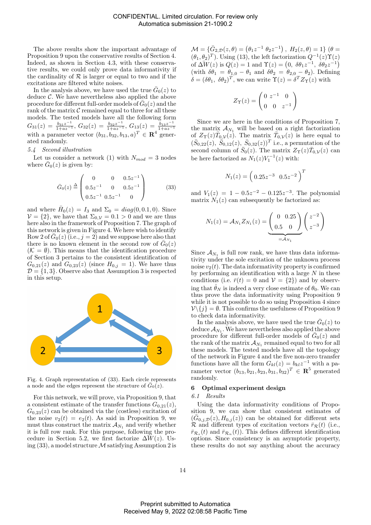The above results show the important advantage of Proposition 9 upon the conservative results of Section 4. Indeed, as shown in Section 4.3, with these conservative results, we could only prove data informativity if the cardinality of  $R$  is larger or equal to two and if the excitations are filtered white noises.

In the analysis above, we have used the true  $\bar{G}_0(z)$  to deduce  $\mathcal{C}$ . We have nevertheless also applied the above procedure for different full-order models of  $\bar{G}_0(z)$  and the rank of the matrix  $\mathcal C$  remained equal to three for all these models. The tested models have all the following form  $G_{31}(z) = \frac{b_{31}z^{-1}}{1+az^{-1}}, G_{32}(z) = \frac{b_{32}z^{-1}}{1+az^{-1}}, G_{13}(z) = \frac{b_{13}z^{-1}}{1+az^{-1}}$  $\frac{1+az-1}{1+az}$ with a parameter vector  $(b_{31}, b_{32}, b_{13}, a)^T \in \mathbb{R}^4$  generated randomly.

#### 5.4 Second illustration

Let us consider a network (1) with  $N_{mod} = 3$  nodes where  $\bar{G}_0(z)$  is given by:

$$
\bar{G}_0(z) \stackrel{\Delta}{=} \begin{pmatrix} 0 & 0 & 0.5z^{-1} \\ 0.5z^{-1} & 0 & 0.5z^{-1} \\ 0.5z^{-1} & 0.5z^{-1} & 0 \end{pmatrix}
$$
 (33)

and where  $\bar{H}_0(z) = I_3$  and  $\Sigma_0 = diag(0, 0.1, 0)$ . Since  $V = \{2\}$ , we have that  $\Sigma_{0,V} = 0.1 > 0$  and we are thus here also in the framework of Proposition 7. The graph of this network is given in Figure 4. We here wish to identify Row 2 of  $\bar{G}_0(z)$  (i.e.,  $j=2$ ) and we suppose here also that there is no known element in the second row of  $\bar{G}_0(z)$  $(K = \emptyset)$ . This means that the identification procedure of Section 3 pertains to the consistent identification of  $G_{0,21}(z)$  and  $G_{0,23}(z)$  (since  $H_{0,j} = 1$ ). We have thus  $D = \{1, 3\}$ . Observe also that Assumption 3 is respected in this setup.



Fig. 4. Graph representation of (33). Each circle represents a node and the edges represent the structure of  $G_0(z)$ .

For this network, we will prove, via Proposition 9, that a consistent estimate of the transfer functions  $G_{0,21}(z)$ ,  $G_{0,23}(z)$  can be obtained via the (costless) excitation of the noise  $v_2(t) = e_2(t)$ . As said in Proposition 9, we must thus construct the matrix  $\mathcal{A}_{N_1}$  and verify whether it is full row rank. For this purpose, following the procedure in Section 5.2, we first factorize  $\Delta W(z)$ . Using  $(33)$ , a model structure M satisfying Assumption 2 is

 $\mathcal{M} = \{ \bar{G}_{2,\mathcal{D}}(z,\theta) = (\theta_1 z^{-1} \ \theta_2 z^{-1}), \ H_2(z,\theta) = 1 \} \ (\theta =$  $(\theta_1, \theta_2)^T$ ). Using (13), the left factorization  $Q^{-1}(z)\Upsilon(z)$ of  $\Delta \bar{W}(z)$  is  $Q(z) = 1$  and  $\Upsilon(z) = (0, \ \delta \theta_1 z^{-1}, \ \delta \theta_2 z^{-1})$ (with  $\delta\theta_1 = \theta_{1,0} - \theta_1$  and  $\delta\theta_2 = \theta_{2,0} - \theta_2$ ). Defining  $\delta = (\delta \theta_1, \ \delta \theta_2)^T$ , we can write  $\Upsilon(z) = \delta^T Z_{\Upsilon}(z)$  with

$$
Z_{\Upsilon}(z) = \begin{pmatrix} 0 & z^{-1} & 0 \\ 0 & 0 & z^{-1} \end{pmatrix}
$$

Since we are here in the conditions of Proposition 7, the matrix  $\mathcal{A}_{N_1}$  will be based on a right factorization of  $Z_{\Upsilon}(z)\overline{T}_{0,\mathcal{V}}(z)$ . The matrix  $\overline{T}_{0,\mathcal{V}}(z)$  is here equal to  $(\bar{S}_{0,22}(z), \ \dot{\bar{S}}_{0,12}(z), \ \bar{S}_{0,32}(z))^T$  i.e., a permutation of the second column of  $\bar{S}_0(z)$ . The matrix  $Z_{\Upsilon}(z) \bar{T}_{0,\mathcal{V}}(z)$  can be here factorized as  $N_1(z)V_1^{-1}(z)$  with:

$$
N_1(z) = \left(0.25z^{-3} \ 0.5z^{-2}\right)^T
$$

and  $V_1(z) = 1 - 0.5z^{-2} - 0.125z^{-3}$ . The polynomial matrix  $N_1(z)$  can subsequently be factorized as:

$$
N_1(z) = A_{N_1} Z_{N_1}(z) = \underbrace{\begin{pmatrix} 0 & 0.25 \\ 0.5 & 0 \end{pmatrix}}_{=A_{N_1}} \begin{pmatrix} z^{-2} \\ z^{-3} \end{pmatrix}
$$

Since  $\mathcal{A}_{N_1}$  is full row rank, we have thus data informativity under the sole excitation of the unknown process noise  $v_2(t)$ . The data informativity property is confirmed by performing an identification with a large  $N$  in these conditions (i.e.  $\bar{r}(t) = 0$  and  $\mathcal{V} = \{2\}$ ) and by observing that  $\hat{\theta}_N$  is indeed a very close estimate of  $\theta_0$ . We can thus prove the data informativity using Proposition 9 while it is not possible to do so using Proposition 4 since  $\mathcal{V}\backslash\{j\} = \emptyset$ . This confirms the usefulness of Proposition 9 to check data informativity.

In the analysis above, we have used the true  $\bar{G}_0(z)$  to deduce  $\mathcal{A}_{N_1}.$  We have nevertheless also applied the above procedure for different full-order models of  $\bar{G}_0(z)$  and the rank of the matrix  $\mathcal{A}_{N_1}$  remained equal to two for all these models. The tested models have all the topology of the network in Figure 4 and the five non-zero transfer functions have all the form  $G_{kl}(z) = b_{kl}z^{-1}$  with a parameter vector  $(b_{13}, b_{21}, b_{23}, b_{31}, b_{32})^T \in \mathbb{R}^5$  generated randomly.

#### 6 Optimal experiment design

## 6.1 Results

Using the data informativity conditions of Proposition 9, we can show that consistent estimates of  $(\bar{G}_{0,j,D}(z), H_{0,j}(z))$  can be obtained for different sets R and different types of excitation vectors  $\bar{r}_R(t)$  (i.e.,  $\bar{r}_{\mathcal{R}_s}(t)$  and  $\bar{r}_{\mathcal{R}_n}(t)$ . This defines different identification options. Since consistency is an asymptotic property, these results do not say anything about the accuracy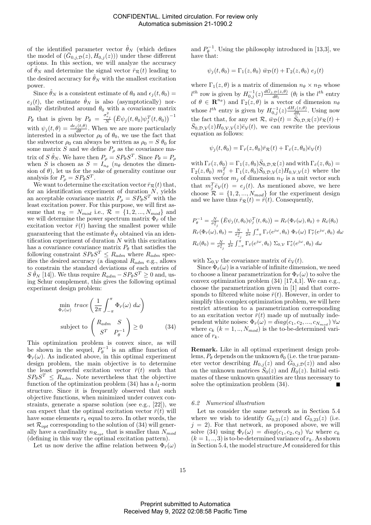of the identified parameter vector  $\hat{\theta}_N$  (which defines the model of  $(\bar{G}_{0,j,D}(z), H_{0,j}(z))$  under these different options. In this section, we will analyze the accuracy of  $\hat{\theta}_N$  and determine the signal vector  $\bar{r}_R(t)$  leading to the desired accuracy for  $\hat{\theta}_N$  with the smallest excitation power.

Since  $\hat{\theta}_N$  is a consistent estimate of  $\theta_0$  and  $\epsilon_j(t, \theta_0)$  =  $e_j(t)$ , the estimate  $\hat{\theta}_N$  is also (asymptotically) normally distributed around  $\theta_0$  with a covariance matrix  $P_{\theta}$  that is given by  $P_{\theta} = \frac{\sigma_{e_j}^2}{N} \left( \bar{E} \psi_j(t, \theta_0) \psi_j^T(t, \theta_0) \right)^{-1}$ with  $\psi_j(t, \theta) = \frac{d\epsilon_j(t, \theta)}{d\theta}$ . When we are more particularly interested in a subvector  $\rho_0$  of  $\theta_0$ , we use the fact that the subvector  $\rho_0$  can always be written as  $\rho_0 = S \theta_0$  for some matrix S and we define  $P_{\rho}$  as the covariance matrix of  $S \hat{\theta}_N$ . We have then  $P_{\rho} = S P_{\theta} S^T$ . Since  $P_{\theta} = P_{\rho}$ when S is chosen as  $S = I_{n_{\theta}}$  ( $n_{\theta}$  denotes the dimension of  $\theta$ ), let us for the sake of generality continue our analysis for  $P_{\rho} = SP_{\theta}S^{T}$ .

We want to determine the excitation vector  $\bar{r}_R(t)$  that, for an identification experiment of duration  $N$ , yields an acceptable covariance matrix  $P_{\rho} = SP_{\theta}S^{T}$  with the least excitation power. For this purpose, we will first assume that  $n_{\mathcal{R}} = N_{mod}$  i.e.,  $\mathcal{R} = \{1, 2, ..., N_{mod}\}\$ and we will determine the power spectrum matrix  $\Phi_{\bar{r}}$  of the excitation vector  $\bar{r}(t)$  having the smallest power while guaranteeing that the estimate  $\hat{\theta}_N$  obtained via an identification experiment of duration  $N$  with this excitation has a covariance covariance matrix  $P_{\theta}$  that satisfies the following constraint  $SP_{\theta}S^{T} \leq R_{adm}$  where  $R_{adm}$  specifies the desired accuracy (a diagonal  $R_{adm}$  e.g., allows to constrain the standard deviations of each entries of  $S \hat{\theta}_N$  [14]). We thus require  $R_{adm} - SP_{\theta}S^T \ge 0$  and, using Schur complement, this gives the following optimal experiment design problem:

$$
\min_{\Phi_{\bar{r}}(\omega)} trace\left(\frac{1}{2\pi} \int_{-\pi}^{\pi} \Phi_{\bar{r}}(\omega) d\omega\right)
$$
\n
$$
\text{subject to } \begin{pmatrix} R_{adm} & S \\ S^T & P_{\theta}^{-1} \end{pmatrix} \ge 0 \tag{34}
$$

This optimization problem is convex since, as will be shown in the sequel,  $P_{\theta}^{-1}$  is an affine function of  $\Phi_{\bar{r}}(\omega)$ . As indicated above, in this optimal experiment design problem, the main objective is to determine the least powerful excitation vector  $\bar{r}(t)$  such that  $SP_{\theta}S^{T} \leq R_{adm}$ . Note nevertheless that the objective function of the optimization problem  $(34)$  has a  $l_1$ -norm structure. Since it is frequently observed that such objective functions, when minimized under convex constraints, generate a sparse solution (see e.g., [22]), we can expect that the optimal excitation vector  $\bar{r}(t)$  will have some elements  $r_k$  equal to zero. In other words, the set  $\mathcal{R}_{opt}$  corresponding to the solution of (34) will generally have a cardinality  $n_{\mathcal{R}_{opt}}$  that is smaller than  $N_{mod}$ (defining in this way the optimal excitation pattern).

Let us now derive the affine relation between  $\Phi_{\bar{r}}(\omega)$ 

and  $P_{\theta}^{-1}$ . Using the philosophy introduced in [13,3], we have that:

$$
\psi_j(t, \theta_0) = \Gamma_1(z, \theta_0) \overline{w}_{\mathcal{D}}(t) + \Gamma_2(z, \theta_0) e_j(t)
$$

where  $\Gamma_1(z,\theta)$  is a matrix of dimension  $n_\theta \times n_\mathcal{D}$  whose  $l^{th}$  row is given by  $H_{0,j}^{-1}(z) \frac{d\bar{G}_{j,D}(z,\theta)}{d\theta_l}$  $\frac{d\mathcal{D}(z,\theta)}{d\theta_l}$  ( $\theta_l$  is the  $l^{th}$  entry of  $\theta \in \mathbf{R}^{n_{\theta}}$  and  $\Gamma_2(z,\theta)$  is a vector of dimension  $n_{\theta}$ whose  $l^{th}$  entry is given by  $H_{0,j}^{-1}(z) \frac{dH_j(z,\theta)}{d\theta_l}$  $\frac{d\theta_l}{d\theta_l}$ . Using now the fact that, for any set  $\mathcal{R}, \ \overline{\hat{w}_{\mathcal{D}}}(t) = \overline{\hat{S}}_{0,\mathcal{D},\mathcal{R}}(z)\overline{r}_{\mathcal{R}}(t) +$  $\bar{S}_{0,D,\mathcal{V}}(z)H_{0,\mathcal{V},\mathcal{V}}(z)\bar{e}_{\mathcal{V}}(t)$ , we can rewrite the previous equation as follows:

$$
\psi_j(t, \theta_0) = \Gamma_{\bar{r}}(z, \theta_0) \bar{r}_{\mathcal{R}}(t) + \Gamma_{\bar{e}}(z, \theta_0) \bar{e}_{\mathcal{V}}(t)
$$

with  $\Gamma_{\bar{r}}(z,\theta_0) = \Gamma_1(z,\theta_0) \bar{S}_{0,\mathcal{D},\mathcal{R}}(z)$  and with  $\Gamma_{\bar{e}}(z,\theta_0) =$  $\Gamma_2(z,\theta_0)$   $m_j^T + \Gamma_1(z,\theta_0) \bar{S}_{0,\mathcal{D},\mathcal{V}}(z) H_{0,\mathcal{V},\mathcal{V}}(z)$  where the column vector  $m_j$  of dimension  $n_\mathcal{V}$  is a unit vector such that  $m_j^T \bar{e}_{\mathcal{V}}(t) = e_j(t)$ . As mentioned above, we here choose  $\mathcal{R} = \{1, 2, ..., N_{mod}\}\$ for the experiment design and we have thus  $\overline{r}_R(t) = \overline{r}(t)$ . Consequently,

$$
P_{\theta}^{-1} = \frac{N}{\sigma_{\epsilon_j}^2} \left( \bar{E} \psi_j(t, \theta_0) \psi_j^T(t, \theta_0) \right) = R_{\bar{r}}(\Phi_{\bar{r}}(\omega), \theta_0) + R_{\bar{e}}(\theta_0)
$$
  

$$
R_{\bar{r}}(\Phi_{\bar{r}}(\omega), \theta_0) = \frac{N}{\sigma_{\epsilon_j}^2} \frac{1}{2\pi} \int_{-\pi}^{\pi} \Gamma_{\bar{r}}(e^{j\omega}, \theta_0) \Phi_{\bar{r}}(\omega) \Gamma_{\bar{r}}^*(e^{j\omega}, \theta_0) d\omega
$$
  

$$
R_{\bar{e}}(\theta_0) = \frac{N}{\sigma_{\epsilon_j}^2} \frac{1}{2\pi} \int_{-\pi}^{\pi} \Gamma_{\bar{e}}(e^{j\omega}, \theta_0) \Sigma_{0, \mathcal{V}} \Gamma_{\bar{e}}^*(e^{j\omega}, \theta_0) d\omega
$$

with  $\Sigma_{0,\mathcal{V}}$  the covariance matrix of  $\bar{e}_{\mathcal{V}}(t)$ .

Since  $\Phi_{\bar{r}}(\omega)$  is a variable of infinite dimension, we need to choose a linear parametrization for  $\Phi_{\bar{r}}(\omega)$  to solve the convex optimization problem (34) [17,4,1]. We can e.g., choose the parametrization given in [1] and that corresponds to filtered white noise  $\bar{r}(t)$ . However, in order to simplify this complex optimization problem, we will here restrict attention to a parametrization corresponding to an excitation vector  $\bar{r}(t)$  made up of mutually independent white noises:  $\Phi_{\bar{r}}(\omega) = diag(c_1, c_2, ..., c_{N_{mod}}) \ \forall \omega$ where  $c_k$   $(k = 1, ..., N_{mod})$  is the to-be-determined variance of  $r_k$ .

Remark. Like in all optimal experiment design problems,  $P_{\theta}$  depends on the unknown  $\theta_0$  (i.e. the true parameter vector describing  $H_{0,j}(z)$  and  $\overline{G}_{0,j,\mathcal{D}}(z)$  and also on the unknown matrices  $\overline{S}_0(z)$  and  $\overline{H}_0(z)$ . Initial estimates of these unknown quantities are thus necessary to solve the optimization problem (34).

#### 6.2 Numerical illustration

Let us consider the same network as in Section 5.4 where we wish to identify  $G_{0,21}(z)$  and  $G_{0,23}(z)$  (i.e.  $j = 2$ ). For that network, as proposed above, we will solve (34) using  $\Phi_{\bar{r}}(\omega) = diag(c_1, c_2, c_3)$   $\forall \omega$  where  $c_k$  $(k = 1, ..., 3)$  is to-be-determined variance of  $r_k$ . As shown in Section 5.4, the model structure  $\mathcal M$  considered for this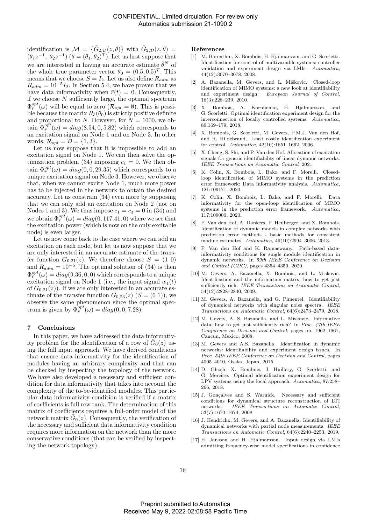identification is  $\mathcal{M} = {\overline{G}}_{2,\mathcal{D}}(z,\theta)$  with  $\overline{G}_{2,\mathcal{D}}(z,\theta) =$  $(\theta_1 z^{-1}, \theta_2 z^{-1}) (\theta = (\theta_1, \theta_2)^T)$ . Let us first suppose that we are interested in having an accurate estimate  $\hat{\theta}^N$  of the whole true parameter vector  $\theta_0 = (0.5, 0.5)^T$ . This means that we choose  $S = I_2$ . Let us also define  $R_{adm}$  as  $R_{adm} = 10^{-5}I_2$ . In Section 5.4, we have proven that we have data informativity when  $\bar{r}(t) = 0$ . Consequently, if we choose  $N$  sufficiently large, the optimal spectrum  $\Phi^{opt}_{\bar{r}}(\omega)$  will be equal to zero  $(\mathcal{R}_{opt} = \emptyset)$ . This is possible because the matrix  $R_{\bar{e}}(\theta_0)$  is strictly positive definite and proportional to N. However, for  $N = 1000$ , we obtain  $\Phi_{\bar{r}}^{opt}(\omega) = diag(8.54, 0, 5.82)$  which corresponds to an excitation signal on Node 1 and on Node 3. In other words,  $\mathcal{R}_{opt} = \mathcal{D} = \{1, 3\}.$ 

Let us now suppose that it is impossible to add an excitation signal on Node 1. We can then solve the optimization problem (34) imposing  $c_1 = 0$ . We then obtain  $\Phi_{\bar{r}}^{opt}(\omega) = diag(0, 0, 29.35)$  which corresponds to a unique excitation signal on Node 3. However, we observe that, when we cannot excite Node 1, much more power has to be injected in the network to obtain the desired accuracy. Let us constrain (34) even more by supposing that we can only add an excitation on Node 2 (not on Nodes 1 and 3). We thus impose  $c_1 = c_3 = 0$  in (34) and we obtain  $\Phi_{\bar{r}}^{opt}(\omega) = diag(0, 117.41, 0)$  where we see that the excitation power (which is now on the only excitable node) is even larger.

Let us now come back to the case where we can add an excitation on each node, but let us now suppose that we are only interested in an accurate estimate of the transfer function  $G_{0,21}(z)$ . We therefore choose  $S = (1\ 0)$ and  $R_{adm} = 10^{-5}$ . The optimal solution of (34) is then  $\Phi^{opt}_{\bar{r}}(\omega)=diag(9.36,0,0)$  which corresponds to a unique excitation signal on Node 1 (i.e., the input signal  $w_1(t)$ ) of  $G_{0,21}(z)$ ). If we are only interested in an accurate estimate of the transfer function  $G_{0,23}(z)$   $(S = (0 1))$ , we observe the same phenomenon since the optimal spectrum is given by  $\Phi_{\bar{r}}^{opt}(\omega) = diag(0, 0, 7.28)$ .

#### 7 Conclusions

In this paper, we have addressed the data informativity problem for the identification of a row of  $\bar{G}_0(z)$  using the full input approach. We have derived conditions that ensure data informativity for the identification of modules having an arbitrary complexity and that can be checked by inspecting the topology of the network. We have also developed a necessary and sufficient condition for data informativity that takes into account the complexity of the to-be-identified modules. This particular data informativity condition is verified if a matrix of coefficients is full row rank. The determination of this matrix of coefficients requires a full-order model of the network matrix  $\bar{G}_0(z)$ . Consequently, the verification of the necessary and sufficient data informativity condition requires more information on the network than the more conservative conditions (that can be verified by inspecting the network topology).

#### References

- [1] M. Barenthin, X. Bombois, H. Hjalmarsson, and G. Scorletti. Identification for control of multivariable systems: controller validation and experiment design via LMIs. Automatica, 44(12):3070–3078, 2008.
- A. Bazanella, M. Gevers, and L. Miškovic. Closed-loop identification of MIMO systems: a new look at identifiability<br>and experiment design. European Journal of Control, European Journal of Control, 16(3):228–239, 2010.
- [3] X. Bombois, A. Korniienko, H. Hjalmarsson, and G. Scorletti. Optimal identification experiment design for the interconnection of locally controlled systems. Automatica, 89:169–179, 2018.
- [4] X. Bombois, G. Scorletti, M. Gevers, P.M.J. Van den Hof, and R. Hildebrand. Least costly identification experiment for control. Automatica, 42(10):1651–1662, 2006.
- [5] X. Cheng, S. Shi, and P. Van den Hof. Allocation of excitation signals for generic identifiability of linear dynamic networks. IEEE Transactions on Automatic Control, 2021.
- [6] K. Colin, X. Bombois, L. Bako, and F. Morelli. Closedloop identification of MIMO systems in the prediction error framework: Data informativity analysis. Automatica, 121:109171, 2020.
- [7] K. Colin, X. Bombois, L. Bako, and F. Morelli. Data informativity for the open-loop identification of MIMO systems in the prediction error framework. Automatica, 117:109000, 2020.
- [8] P. Van den Hof, A. Dankers, P. Heuberger, and X. Bombois. Identification of dynamic models in complex networks with prediction error methods - basic methods for consistent module estimates. Automatica, 49(10):2994–3006, 2013.
- [9] P. Van den Hof and K. Ramaswamy. Path-based datainformativity conditions for single module identification in dynamic networks. In 59th IEEE Conference on Decision and Control (CDC), pages 4354–4359, 2020.
- [10] M. Gevers, A. Bazanella, X. Bombois, and L. Miskovic. Identification and the information matrix: how to get just sufficiently rich. IEEE Transactions on Automatic Control, 54(12):2828–2840, 2009.
- [11] M. Gevers, A. Bazanella, and G. Pimentel. Identifiability of dynamical networks with singular noise spectra. IEEE Transactions on Automatic Control, 64(6):2473–2479, 2018.
- [12] M. Gevers, A. S. Bazanella, and L. Miskovic. Informative data: how to get just sufficiently rich? In Proc. 47th IEEE Conference on Decision and Control, pages pp. 1962–1967, Cancun, Mexico, 2008.
- [13] M. Gevers and A.S. Bazanella. Identification in dynamic networks: identifiability and experiment design issues. In Proc. 54th IEEE Conference on Decision and Control, pages 4005–4010, Osaka, Japan, 2015.
- [14] D. Ghosh, X. Bombois, J. Huillery, G. Scorletti, and G. Mercère. Optimal identification experiment design for LPV systems using the local approach. Automatica, 87:258– 266, 2018.
- [15] J. Gonçalves and S. Warnick. Necessary and sufficient conditions for dynamical structure reconstruction of LTI networks. IEEE Transactions on Automatic Control, 53(7):1670–1674, 2008.
- [16] J. Hendrickx, M. Gevers, and A. Bazanella. Identifiability of dynamical networks with partial node measurements. IEEE Transactions on Automatic Control, 64(6):2240–2253, 2019.
- [17] H. Jansson and H. Hjalmarsson. Input design via LMIs admitting frequency-wise model specifications in confidence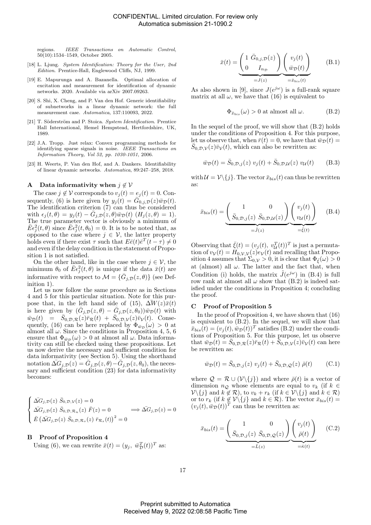regions. IEEE Transactions on Automatic Control, 50(10):1534–1549, October 2005.

- [18] L. Ljung. System Identification: Theory for the User, 2nd Edition. Prentice-Hall, Englewood Cliffs, NJ, 1999.
- [19] E. Mapurunga and A. Bazanella. Optimal allocation of excitation and measurement for identification of dynamic networks. 2020. Available via arXiv 2007.09263.
- [20] S. Shi, X. Cheng, and P. Van den Hof. Generic identifiability of subnetworks in a linear dynamic network: the full measurement case. Automatica, 137:110093, 2022.
- [21] T. Söderström and P. Stoica. System Identification. Prentice Hall International, Hemel Hempstead, Hertfordshire, UK, 1989.
- [22] J.A. Tropp. Just relax: Convex programming methods for identifying sparse signals in noise. IEEE Transactions on Information Theory, Vol 52, pp. 1030-1051, 2006.
- [23] H. Weerts, P. Van den Hof, and A. Dankers. Identifiability of linear dynamic networks. Automatica, 89:247–258, 2018.

### A Data informativity when  $j \notin V$

The case  $j \notin V$  corresponds to  $v_i(t) = e_i(t) = 0$ . Consequently, (6) is here given by  $y_j(t) = \overline{G}_{0,j,D}(z)\overline{w}_D(t)$ . The identification criterion (7) can thus be considered with  $\epsilon_j(t,\theta) = y_j(t) - \overline{G}_{j,\mathcal{D}}(z,\theta)\overline{w}_{\mathcal{D}}(t)$   $(H_j(z,\theta) = 1)$ . The true parameter vector is obviously a minimum of  $\bar{E}\epsilon_j^2(t,\theta)$  since  $\bar{E}\epsilon_j^2(t,\theta_0) = 0$ . It is to be noted that, as opposed to the case where  $j \in V$ , the latter property holds even if there exist  $\tau$  such that  $E\bar{e}(t)\bar{e}^T(t-\tau) \neq 0$ and even if the delay condition in the statement of Proposition 1 is not satisfied.

On the other hand, like in the case where  $j \in \mathcal{V}$ , the minimum  $\theta_0$  of  $\bar{E} \epsilon_j^2(t, \theta)$  is unique if the data  $\bar{x}(t)$  are informative with respect to  $\mathcal{M} = \{\bar{G}_{j,\mathcal{D}}(z,\theta)\}\$  (see Definition 1).

Let us now follow the same procedure as in Sections 4 and 5 for this particular situation. Note for this purpose that, in the left hand side of (15),  $\Delta W(z)\overline{x}(t)$ is here given by  $(\bar{G}_{j,D}(z,\theta) - \bar{G}_{j,D}(z,\theta_0))\bar{w}_{\mathcal{D}}(t)$  with  $\bar{w}_\mathcal{D}(t) = \bar{S}_{0,\mathcal{D},\mathcal{R}}(z)\bar{r}_\mathcal{R}(t) + \bar{S}_{0,\mathcal{D},\mathcal{V}}(z)\bar{v}_\mathcal{V}(t)$ . Consequently, (16) can be here replaced by  $\Phi_{\bar{w}_{\mathcal{D}}}(\omega) > 0$  at almost all  $\omega$ . Since the conditions in Proposition 4, 5, 6 ensure that  $\Phi_{\bar{w}_{\mathcal{D}}}(\omega) > 0$  at almost all  $\omega$ . Data informativity can still be checked using these propositions. Let us now derive the necessary and sufficient condition for data informativity (see Section 5). Using the shorthand notation  $\bar{\Delta G}_{j,\mathcal{D}}(z) = \bar{G}_{j,\mathcal{D}}(z,\theta) - \bar{G}_{j,\mathcal{D}}(z,\theta_0)$ , the necessary and sufficient condition (23) for data informativity becomes:

$$
\begin{cases}\n\overline{\Delta G}_{j,\mathcal{D}}(z) \ \overline{S}_{0,\mathcal{D},\mathcal{V}}(z) = 0 \\
\overline{\Delta G}_{j,\mathcal{D}}(z) \ \overline{S}_{0,\mathcal{D},\mathcal{R}_n}(z) \ \overline{F}(z) = 0 \quad \Longrightarrow \overline{\Delta G}_{j,\mathcal{D}}(z) = 0 \\
\overline{E} (\overline{\Delta G}_{j,\mathcal{D}}(z) \ \overline{S}_{0,\mathcal{D},\mathcal{R}_s}(z) \ \overline{r}_{\mathcal{R}_s}(t))^2 = 0\n\end{cases}
$$

# B Proof of Proposition 4

Using (6), we can rewrite  $\bar{x}(t) = (y_j, \ \bar{w}_D^T(t))^T$  as:

$$
\bar{x}(t) = \underbrace{\begin{pmatrix} 1 & \bar{G}_{0,j}, p(z) \\ 0 & I_{n_D} \end{pmatrix}}_{=J(z)} \underbrace{\begin{pmatrix} v_j(t) \\ \bar{w}_{\mathcal{D}}(t) \end{pmatrix}}_{= \bar{x}_{bis}(t)}
$$
(B.1)

As also shown in [9], since  $J(e^{j\omega})$  is a full-rank square matrix at all  $\omega$ , we have that (16) is equivalent to

$$
\Phi_{\bar{x}_{bis}}(\omega) > 0 \text{ at almost all } \omega.
$$
 (B.2)

In the sequel of the proof, we will show that (B.2) holds under the conditions of Proposition 4. For this purpose, let us observe that, when  $\bar{r}(t) = 0$ , we have that  $\bar{w}_D(t) =$  $\bar{S}_{0,D,\mathcal{V}}(z)\bar{v}_{\mathcal{V}}(t)$ , which can also be rewritten as:

$$
\bar{w}_{\mathcal{D}}(t) = \bar{S}_{0,\mathcal{D},j}(z) \ v_j(t) + \bar{S}_{0,\mathcal{D},\mathcal{U}}(z) \ v_{\mathcal{U}}(t) \tag{B.3}
$$

with  $\mathcal{U} = \mathcal{V}\backslash\{j\}$ . The vector  $\bar{x}_{bis}(t)$  can thus be rewritten as:

$$
\bar{x}_{bis}(t) = \underbrace{\begin{pmatrix} 1 & 0 \\ \bar{S}_{0,\mathcal{D},j}(z) & \bar{S}_{0,\mathcal{D},\mathcal{U}}(z) \end{pmatrix}}_{=\tilde{J}(z)} \underbrace{\begin{pmatrix} v_j(t) \\ v_{\mathcal{U}}(t) \end{pmatrix}}_{=\tilde{\xi}(t)} \quad (B.4)
$$

Observing that  $\bar{\xi}(t) = (v_j(t), v_{\mathcal{U}}^T(t))^T$  is just a permutation of  $v_{\mathcal{V}}(t) = H_{0,\mathcal{V},\mathcal{V}}(z)e_{\mathcal{V}}(t)$  and recalling that Proposition 4 assumes that  $\Sigma_{0,\mathcal{V}} > 0$ , it is clear that  $\Phi_{\bar{\varepsilon}}(\omega) > 0$ at (almost) all  $\omega$ . The latter and the fact that, when Condition (i) holds, the matrix  $\tilde{J}(e^{j\omega})$  in (B.4) is full row rank at almost all  $\omega$  show that (B.2) is indeed satisfied under the conditions in Proposition 4; concluding the proof.

## C Proof of Proposition 5

In the proof of Proposition 4, we have shown that (16) is equivalent to  $(B.2)$ . In the sequel, we will show that  $\bar{x}_{bis}(t) = (v_j(t), \bar{w}_{\mathcal{D}}(t))^T$  satisfies (B.2) under the conditions of Proposition 5. For this purpose, let us observe that  $\bar{w}_{\mathcal{D}}(t) = \bar{S}_{0,\mathcal{D},\mathcal{R}}(z)\bar{r}_{\mathcal{R}}(t) + \bar{\bar{S}}_{0,\mathcal{D},\mathcal{V}}(z)\bar{v}_{\mathcal{V}}(t)$  can here be rewritten as:

$$
\bar{w}_{\mathcal{D}}(t) = \bar{S}_{0,\mathcal{D},j}(z) \ v_j(t) + \bar{S}_{0,\mathcal{D},\mathcal{Q}}(z) \ \bar{\rho}(t) \tag{C.1}
$$

where  $\mathcal{Q} = \mathcal{R} \cup (\mathcal{V}\backslash\{j\})$  and where  $\bar{\rho}(t)$  is a vector of dimension  $n_Q$  whose elements are equal to  $v_k$  (if  $k \in$  $\mathcal{V}\setminus\{j\}$  and  $k \notin \mathcal{R}$ ), to  $v_k + r_k$  (if  $k \in \mathcal{V}\setminus\{j\}$  and  $k \in \mathcal{R}$ ) or to  $r_k$  (if  $k \notin V\backslash\{j\}$  and  $k \in \mathcal{R}$ ). The vector  $\bar{x}_{bis}(t) =$  $(v_j(t), \bar{w}_D(t))^T$  can thus be rewritten as:

$$
\bar{x}_{bis}(t) = \underbrace{\begin{pmatrix} 1 & 0 \\ \bar{S}_{0,\mathcal{D},j}(z) & \bar{S}_{0,\mathcal{D},\mathcal{Q}}(z) \end{pmatrix}}_{=\bar{L}(z)} \underbrace{\begin{pmatrix} v_j(t) \\ \bar{\rho}(t) \end{pmatrix}}_{=\bar{\kappa}(t)} \quad \text{(C.2)}
$$